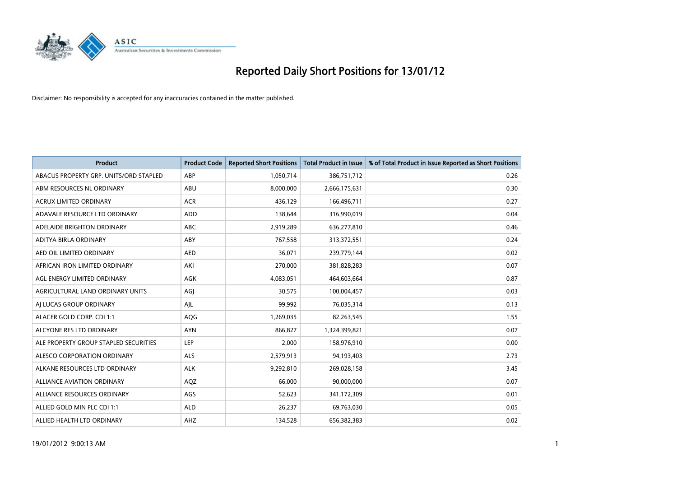

| <b>Product</b>                         | <b>Product Code</b> | <b>Reported Short Positions</b> | <b>Total Product in Issue</b> | % of Total Product in Issue Reported as Short Positions |
|----------------------------------------|---------------------|---------------------------------|-------------------------------|---------------------------------------------------------|
| ABACUS PROPERTY GRP. UNITS/ORD STAPLED | ABP                 | 1,050,714                       | 386,751,712                   | 0.26                                                    |
| ABM RESOURCES NL ORDINARY              | ABU                 | 8,000,000                       | 2,666,175,631                 | 0.30                                                    |
| <b>ACRUX LIMITED ORDINARY</b>          | <b>ACR</b>          | 436,129                         | 166,496,711                   | 0.27                                                    |
| ADAVALE RESOURCE LTD ORDINARY          | ADD                 | 138,644                         | 316,990,019                   | 0.04                                                    |
| ADELAIDE BRIGHTON ORDINARY             | <b>ABC</b>          | 2,919,289                       | 636,277,810                   | 0.46                                                    |
| ADITYA BIRLA ORDINARY                  | ABY                 | 767,558                         | 313,372,551                   | 0.24                                                    |
| AED OIL LIMITED ORDINARY               | <b>AED</b>          | 36.071                          | 239,779,144                   | 0.02                                                    |
| AFRICAN IRON LIMITED ORDINARY          | AKI                 | 270,000                         | 381,828,283                   | 0.07                                                    |
| AGL ENERGY LIMITED ORDINARY            | <b>AGK</b>          | 4,083,051                       | 464,603,664                   | 0.87                                                    |
| AGRICULTURAL LAND ORDINARY UNITS       | AGI                 | 30,575                          | 100,004,457                   | 0.03                                                    |
| AI LUCAS GROUP ORDINARY                | AJL                 | 99,992                          | 76,035,314                    | 0.13                                                    |
| ALACER GOLD CORP. CDI 1:1              | AQG                 | 1,269,035                       | 82,263,545                    | 1.55                                                    |
| ALCYONE RES LTD ORDINARY               | <b>AYN</b>          | 866.827                         | 1,324,399,821                 | 0.07                                                    |
| ALE PROPERTY GROUP STAPLED SECURITIES  | LEP                 | 2,000                           | 158,976,910                   | 0.00                                                    |
| ALESCO CORPORATION ORDINARY            | ALS                 | 2,579,913                       | 94,193,403                    | 2.73                                                    |
| ALKANE RESOURCES LTD ORDINARY          | <b>ALK</b>          | 9,292,810                       | 269,028,158                   | 3.45                                                    |
| <b>ALLIANCE AVIATION ORDINARY</b>      | AQZ                 | 66,000                          | 90,000,000                    | 0.07                                                    |
| ALLIANCE RESOURCES ORDINARY            | AGS                 | 52,623                          | 341,172,309                   | 0.01                                                    |
| ALLIED GOLD MIN PLC CDI 1:1            | <b>ALD</b>          | 26,237                          | 69,763,030                    | 0.05                                                    |
| ALLIED HEALTH LTD ORDINARY             | AHZ                 | 134,528                         | 656,382,383                   | 0.02                                                    |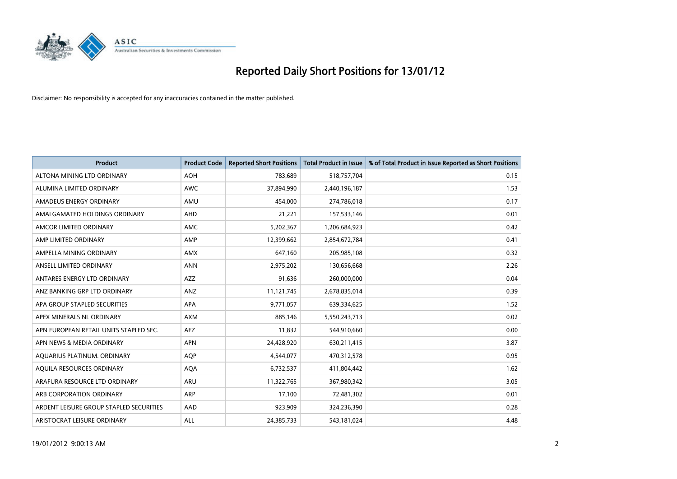

| Product                                 | <b>Product Code</b> | <b>Reported Short Positions</b> | Total Product in Issue | % of Total Product in Issue Reported as Short Positions |
|-----------------------------------------|---------------------|---------------------------------|------------------------|---------------------------------------------------------|
| ALTONA MINING LTD ORDINARY              | <b>AOH</b>          | 783,689                         | 518,757,704            | 0.15                                                    |
| ALUMINA LIMITED ORDINARY                | AWC                 | 37,894,990                      | 2,440,196,187          | 1.53                                                    |
| AMADEUS ENERGY ORDINARY                 | AMU                 | 454,000                         | 274,786,018            | 0.17                                                    |
| AMALGAMATED HOLDINGS ORDINARY           | AHD                 | 21,221                          | 157,533,146            | 0.01                                                    |
| AMCOR LIMITED ORDINARY                  | AMC                 | 5,202,367                       | 1,206,684,923          | 0.42                                                    |
| AMP LIMITED ORDINARY                    | AMP                 | 12,399,662                      | 2,854,672,784          | 0.41                                                    |
| AMPELLA MINING ORDINARY                 | <b>AMX</b>          | 647,160                         | 205,985,108            | 0.32                                                    |
| ANSELL LIMITED ORDINARY                 | <b>ANN</b>          | 2,975,202                       | 130,656,668            | 2.26                                                    |
| ANTARES ENERGY LTD ORDINARY             | <b>AZZ</b>          | 91,636                          | 260,000,000            | 0.04                                                    |
| ANZ BANKING GRP LTD ORDINARY            | <b>ANZ</b>          | 11,121,745                      | 2,678,835,014          | 0.39                                                    |
| APA GROUP STAPLED SECURITIES            | APA                 | 9,771,057                       | 639,334,625            | 1.52                                                    |
| APEX MINERALS NL ORDINARY               | <b>AXM</b>          | 885,146                         | 5,550,243,713          | 0.02                                                    |
| APN EUROPEAN RETAIL UNITS STAPLED SEC.  | AEZ                 | 11,832                          | 544,910,660            | 0.00                                                    |
| APN NEWS & MEDIA ORDINARY               | <b>APN</b>          | 24,428,920                      | 630,211,415            | 3.87                                                    |
| AQUARIUS PLATINUM. ORDINARY             | AQP                 | 4,544,077                       | 470,312,578            | 0.95                                                    |
| AQUILA RESOURCES ORDINARY               | <b>AQA</b>          | 6,732,537                       | 411,804,442            | 1.62                                                    |
| ARAFURA RESOURCE LTD ORDINARY           | <b>ARU</b>          | 11,322,765                      | 367,980,342            | 3.05                                                    |
| ARB CORPORATION ORDINARY                | <b>ARP</b>          | 17,100                          | 72,481,302             | 0.01                                                    |
| ARDENT LEISURE GROUP STAPLED SECURITIES | AAD                 | 923,909                         | 324,236,390            | 0.28                                                    |
| ARISTOCRAT LEISURE ORDINARY             | ALL                 | 24,385,733                      | 543,181,024            | 4.48                                                    |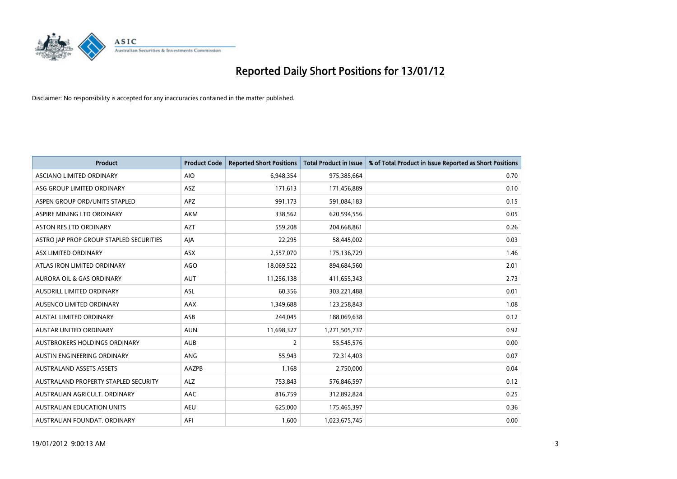

| <b>Product</b>                          | <b>Product Code</b> | <b>Reported Short Positions</b> | <b>Total Product in Issue</b> | % of Total Product in Issue Reported as Short Positions |
|-----------------------------------------|---------------------|---------------------------------|-------------------------------|---------------------------------------------------------|
| ASCIANO LIMITED ORDINARY                | <b>AIO</b>          | 6,948,354                       | 975,385,664                   | 0.70                                                    |
| ASG GROUP LIMITED ORDINARY              | ASZ                 | 171,613                         | 171,456,889                   | 0.10                                                    |
| ASPEN GROUP ORD/UNITS STAPLED           | <b>APZ</b>          | 991,173                         | 591,084,183                   | 0.15                                                    |
| ASPIRE MINING LTD ORDINARY              | <b>AKM</b>          | 338,562                         | 620,594,556                   | 0.05                                                    |
| <b>ASTON RES LTD ORDINARY</b>           | <b>AZT</b>          | 559,208                         | 204,668,861                   | 0.26                                                    |
| ASTRO JAP PROP GROUP STAPLED SECURITIES | AJA                 | 22,295                          | 58,445,002                    | 0.03                                                    |
| ASX LIMITED ORDINARY                    | <b>ASX</b>          | 2,557,070                       | 175,136,729                   | 1.46                                                    |
| ATLAS IRON LIMITED ORDINARY             | <b>AGO</b>          | 18,069,522                      | 894,684,560                   | 2.01                                                    |
| <b>AURORA OIL &amp; GAS ORDINARY</b>    | AUT                 | 11,256,138                      | 411,655,343                   | 2.73                                                    |
| AUSDRILL LIMITED ORDINARY               | ASL                 | 60,356                          | 303,221,488                   | 0.01                                                    |
| AUSENCO LIMITED ORDINARY                | AAX                 | 1,349,688                       | 123,258,843                   | 1.08                                                    |
| <b>AUSTAL LIMITED ORDINARY</b>          | ASB                 | 244,045                         | 188,069,638                   | 0.12                                                    |
| <b>AUSTAR UNITED ORDINARY</b>           | <b>AUN</b>          | 11,698,327                      | 1,271,505,737                 | 0.92                                                    |
| AUSTBROKERS HOLDINGS ORDINARY           | <b>AUB</b>          | 2                               | 55,545,576                    | 0.00                                                    |
| AUSTIN ENGINEERING ORDINARY             | ANG                 | 55,943                          | 72,314,403                    | 0.07                                                    |
| <b>AUSTRALAND ASSETS ASSETS</b>         | AAZPB               | 1,168                           | 2,750,000                     | 0.04                                                    |
| AUSTRALAND PROPERTY STAPLED SECURITY    | <b>ALZ</b>          | 753,843                         | 576,846,597                   | 0.12                                                    |
| AUSTRALIAN AGRICULT, ORDINARY           | AAC                 | 816,759                         | 312,892,824                   | 0.25                                                    |
| <b>AUSTRALIAN EDUCATION UNITS</b>       | <b>AEU</b>          | 625,000                         | 175,465,397                   | 0.36                                                    |
| AUSTRALIAN FOUNDAT. ORDINARY            | AFI                 | 1,600                           | 1,023,675,745                 | 0.00                                                    |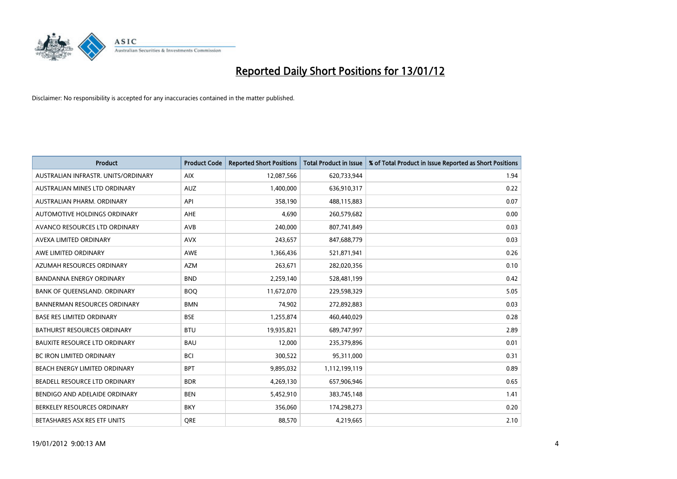

| <b>Product</b>                       | <b>Product Code</b> | <b>Reported Short Positions</b> | <b>Total Product in Issue</b> | % of Total Product in Issue Reported as Short Positions |
|--------------------------------------|---------------------|---------------------------------|-------------------------------|---------------------------------------------------------|
| AUSTRALIAN INFRASTR, UNITS/ORDINARY  | <b>AIX</b>          | 12,087,566                      | 620,733,944                   | 1.94                                                    |
| AUSTRALIAN MINES LTD ORDINARY        | <b>AUZ</b>          | 1,400,000                       | 636,910,317                   | 0.22                                                    |
| AUSTRALIAN PHARM, ORDINARY           | API                 | 358,190                         | 488,115,883                   | 0.07                                                    |
| AUTOMOTIVE HOLDINGS ORDINARY         | AHE                 | 4,690                           | 260,579,682                   | 0.00                                                    |
| AVANCO RESOURCES LTD ORDINARY        | AVB                 | 240,000                         | 807,741,849                   | 0.03                                                    |
| AVEXA LIMITED ORDINARY               | <b>AVX</b>          | 243,657                         | 847,688,779                   | 0.03                                                    |
| AWE LIMITED ORDINARY                 | <b>AWE</b>          | 1,366,436                       | 521,871,941                   | 0.26                                                    |
| AZUMAH RESOURCES ORDINARY            | <b>AZM</b>          | 263,671                         | 282,020,356                   | 0.10                                                    |
| <b>BANDANNA ENERGY ORDINARY</b>      | <b>BND</b>          | 2,259,140                       | 528,481,199                   | 0.42                                                    |
| BANK OF QUEENSLAND. ORDINARY         | <b>BOQ</b>          | 11,672,070                      | 229,598,329                   | 5.05                                                    |
| <b>BANNERMAN RESOURCES ORDINARY</b>  | <b>BMN</b>          | 74,902                          | 272,892,883                   | 0.03                                                    |
| <b>BASE RES LIMITED ORDINARY</b>     | <b>BSE</b>          | 1,255,874                       | 460,440,029                   | 0.28                                                    |
| BATHURST RESOURCES ORDINARY          | <b>BTU</b>          | 19,935,821                      | 689,747,997                   | 2.89                                                    |
| <b>BAUXITE RESOURCE LTD ORDINARY</b> | <b>BAU</b>          | 12,000                          | 235,379,896                   | 0.01                                                    |
| <b>BC IRON LIMITED ORDINARY</b>      | <b>BCI</b>          | 300,522                         | 95,311,000                    | 0.31                                                    |
| BEACH ENERGY LIMITED ORDINARY        | <b>BPT</b>          | 9,895,032                       | 1,112,199,119                 | 0.89                                                    |
| BEADELL RESOURCE LTD ORDINARY        | <b>BDR</b>          | 4,269,130                       | 657,906,946                   | 0.65                                                    |
| BENDIGO AND ADELAIDE ORDINARY        | <b>BEN</b>          | 5,452,910                       | 383,745,148                   | 1.41                                                    |
| BERKELEY RESOURCES ORDINARY          | <b>BKY</b>          | 356,060                         | 174,298,273                   | 0.20                                                    |
| BETASHARES ASX RES ETF UNITS         | <b>ORE</b>          | 88,570                          | 4,219,665                     | 2.10                                                    |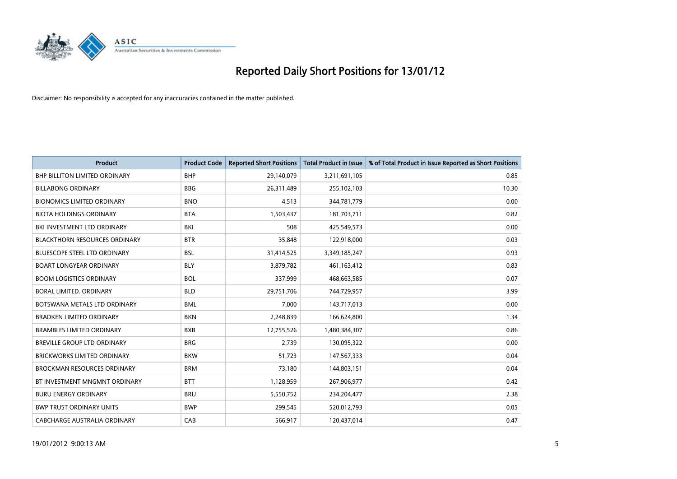

| <b>Product</b>                       | <b>Product Code</b> | <b>Reported Short Positions</b> | <b>Total Product in Issue</b> | % of Total Product in Issue Reported as Short Positions |
|--------------------------------------|---------------------|---------------------------------|-------------------------------|---------------------------------------------------------|
| <b>BHP BILLITON LIMITED ORDINARY</b> | <b>BHP</b>          | 29,140,079                      | 3,211,691,105                 | 0.85                                                    |
| <b>BILLABONG ORDINARY</b>            | <b>BBG</b>          | 26,311,489                      | 255,102,103                   | 10.30                                                   |
| <b>BIONOMICS LIMITED ORDINARY</b>    | <b>BNO</b>          | 4,513                           | 344,781,779                   | 0.00                                                    |
| <b>BIOTA HOLDINGS ORDINARY</b>       | <b>BTA</b>          | 1,503,437                       | 181,703,711                   | 0.82                                                    |
| BKI INVESTMENT LTD ORDINARY          | BKI                 | 508                             | 425,549,573                   | 0.00                                                    |
| <b>BLACKTHORN RESOURCES ORDINARY</b> | <b>BTR</b>          | 35,848                          | 122,918,000                   | 0.03                                                    |
| <b>BLUESCOPE STEEL LTD ORDINARY</b>  | <b>BSL</b>          | 31,414,525                      | 3,349,185,247                 | 0.93                                                    |
| <b>BOART LONGYEAR ORDINARY</b>       | <b>BLY</b>          | 3,879,782                       | 461,163,412                   | 0.83                                                    |
| <b>BOOM LOGISTICS ORDINARY</b>       | <b>BOL</b>          | 337,999                         | 468,663,585                   | 0.07                                                    |
| <b>BORAL LIMITED, ORDINARY</b>       | <b>BLD</b>          | 29,751,706                      | 744,729,957                   | 3.99                                                    |
| BOTSWANA METALS LTD ORDINARY         | <b>BML</b>          | 7,000                           | 143,717,013                   | 0.00                                                    |
| <b>BRADKEN LIMITED ORDINARY</b>      | <b>BKN</b>          | 2,248,839                       | 166,624,800                   | 1.34                                                    |
| <b>BRAMBLES LIMITED ORDINARY</b>     | <b>BXB</b>          | 12,755,526                      | 1,480,384,307                 | 0.86                                                    |
| <b>BREVILLE GROUP LTD ORDINARY</b>   | <b>BRG</b>          | 2,739                           | 130,095,322                   | 0.00                                                    |
| <b>BRICKWORKS LIMITED ORDINARY</b>   | <b>BKW</b>          | 51,723                          | 147,567,333                   | 0.04                                                    |
| <b>BROCKMAN RESOURCES ORDINARY</b>   | <b>BRM</b>          | 73,180                          | 144,803,151                   | 0.04                                                    |
| BT INVESTMENT MNGMNT ORDINARY        | <b>BTT</b>          | 1,128,959                       | 267,906,977                   | 0.42                                                    |
| <b>BURU ENERGY ORDINARY</b>          | <b>BRU</b>          | 5,550,752                       | 234,204,477                   | 2.38                                                    |
| <b>BWP TRUST ORDINARY UNITS</b>      | <b>BWP</b>          | 299,545                         | 520,012,793                   | 0.05                                                    |
| CABCHARGE AUSTRALIA ORDINARY         | CAB                 | 566,917                         | 120,437,014                   | 0.47                                                    |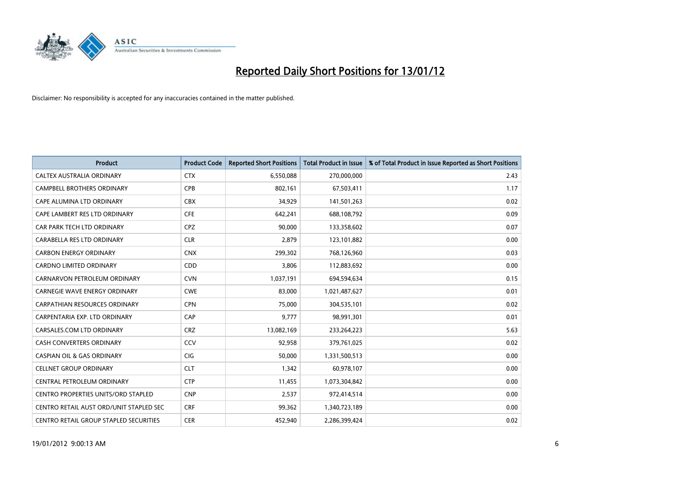

| <b>Product</b>                          | <b>Product Code</b> | <b>Reported Short Positions</b> | <b>Total Product in Issue</b> | % of Total Product in Issue Reported as Short Positions |
|-----------------------------------------|---------------------|---------------------------------|-------------------------------|---------------------------------------------------------|
| CALTEX AUSTRALIA ORDINARY               | <b>CTX</b>          | 6,550,088                       | 270,000,000                   | 2.43                                                    |
| CAMPBELL BROTHERS ORDINARY              | <b>CPB</b>          | 802,161                         | 67,503,411                    | 1.17                                                    |
| CAPE ALUMINA LTD ORDINARY               | <b>CBX</b>          | 34,929                          | 141,501,263                   | 0.02                                                    |
| CAPE LAMBERT RES LTD ORDINARY           | <b>CFE</b>          | 642,241                         | 688,108,792                   | 0.09                                                    |
| CAR PARK TECH LTD ORDINARY              | <b>CPZ</b>          | 90,000                          | 133,358,602                   | 0.07                                                    |
| CARABELLA RES LTD ORDINARY              | <b>CLR</b>          | 2,879                           | 123,101,882                   | 0.00                                                    |
| <b>CARBON ENERGY ORDINARY</b>           | <b>CNX</b>          | 299,302                         | 768,126,960                   | 0.03                                                    |
| CARDNO LIMITED ORDINARY                 | CDD                 | 3,806                           | 112,883,692                   | 0.00                                                    |
| CARNARVON PETROLEUM ORDINARY            | <b>CVN</b>          | 1,037,191                       | 694,594,634                   | 0.15                                                    |
| <b>CARNEGIE WAVE ENERGY ORDINARY</b>    | <b>CWE</b>          | 83,000                          | 1,021,487,627                 | 0.01                                                    |
| CARPATHIAN RESOURCES ORDINARY           | <b>CPN</b>          | 75,000                          | 304,535,101                   | 0.02                                                    |
| CARPENTARIA EXP. LTD ORDINARY           | CAP                 | 9,777                           | 98,991,301                    | 0.01                                                    |
| CARSALES.COM LTD ORDINARY               | <b>CRZ</b>          | 13,082,169                      | 233,264,223                   | 5.63                                                    |
| <b>CASH CONVERTERS ORDINARY</b>         | CCV                 | 92,958                          | 379,761,025                   | 0.02                                                    |
| <b>CASPIAN OIL &amp; GAS ORDINARY</b>   | CIG                 | 50,000                          | 1,331,500,513                 | 0.00                                                    |
| <b>CELLNET GROUP ORDINARY</b>           | <b>CLT</b>          | 1,342                           | 60,978,107                    | 0.00                                                    |
| CENTRAL PETROLEUM ORDINARY              | <b>CTP</b>          | 11,455                          | 1,073,304,842                 | 0.00                                                    |
| CENTRO PROPERTIES UNITS/ORD STAPLED     | <b>CNP</b>          | 2,537                           | 972,414,514                   | 0.00                                                    |
| CENTRO RETAIL AUST ORD/UNIT STAPLED SEC | <b>CRF</b>          | 99,362                          | 1,340,723,189                 | 0.00                                                    |
| CENTRO RETAIL GROUP STAPLED SECURITIES  | <b>CER</b>          | 452,940                         | 2,286,399,424                 | 0.02                                                    |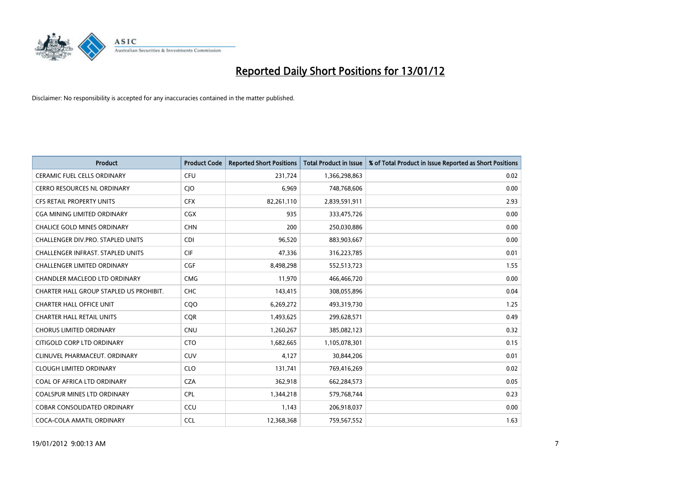

| <b>Product</b>                          | <b>Product Code</b> | <b>Reported Short Positions</b> | <b>Total Product in Issue</b> | % of Total Product in Issue Reported as Short Positions |
|-----------------------------------------|---------------------|---------------------------------|-------------------------------|---------------------------------------------------------|
| <b>CERAMIC FUEL CELLS ORDINARY</b>      | <b>CFU</b>          | 231,724                         | 1,366,298,863                 | 0.02                                                    |
| CERRO RESOURCES NL ORDINARY             | CJO                 | 6,969                           | 748,768,606                   | 0.00                                                    |
| <b>CFS RETAIL PROPERTY UNITS</b>        | <b>CFX</b>          | 82,261,110                      | 2,839,591,911                 | 2.93                                                    |
| <b>CGA MINING LIMITED ORDINARY</b>      | CGX                 | 935                             | 333,475,726                   | 0.00                                                    |
| <b>CHALICE GOLD MINES ORDINARY</b>      | <b>CHN</b>          | 200                             | 250,030,886                   | 0.00                                                    |
| CHALLENGER DIV.PRO. STAPLED UNITS       | <b>CDI</b>          | 96,520                          | 883,903,667                   | 0.00                                                    |
| CHALLENGER INFRAST. STAPLED UNITS       | <b>CIF</b>          | 47,336                          | 316,223,785                   | 0.01                                                    |
| <b>CHALLENGER LIMITED ORDINARY</b>      | <b>CGF</b>          | 8,498,298                       | 552,513,723                   | 1.55                                                    |
| CHANDLER MACLEOD LTD ORDINARY           | <b>CMG</b>          | 11,970                          | 466,466,720                   | 0.00                                                    |
| CHARTER HALL GROUP STAPLED US PROHIBIT. | <b>CHC</b>          | 143,415                         | 308,055,896                   | 0.04                                                    |
| CHARTER HALL OFFICE UNIT                | CQO                 | 6,269,272                       | 493,319,730                   | 1.25                                                    |
| <b>CHARTER HALL RETAIL UNITS</b>        | <b>COR</b>          | 1,493,625                       | 299,628,571                   | 0.49                                                    |
| <b>CHORUS LIMITED ORDINARY</b>          | <b>CNU</b>          | 1,260,267                       | 385,082,123                   | 0.32                                                    |
| CITIGOLD CORP LTD ORDINARY              | <b>CTO</b>          | 1,682,665                       | 1,105,078,301                 | 0.15                                                    |
| CLINUVEL PHARMACEUT, ORDINARY           | <b>CUV</b>          | 4,127                           | 30,844,206                    | 0.01                                                    |
| <b>CLOUGH LIMITED ORDINARY</b>          | <b>CLO</b>          | 131,741                         | 769,416,269                   | 0.02                                                    |
| COAL OF AFRICA LTD ORDINARY             | <b>CZA</b>          | 362,918                         | 662,284,573                   | 0.05                                                    |
| <b>COALSPUR MINES LTD ORDINARY</b>      | <b>CPL</b>          | 1,344,218                       | 579,768,744                   | 0.23                                                    |
| <b>COBAR CONSOLIDATED ORDINARY</b>      | CCU                 | 1,143                           | 206,918,037                   | 0.00                                                    |
| COCA-COLA AMATIL ORDINARY               | <b>CCL</b>          | 12,368,368                      | 759,567,552                   | 1.63                                                    |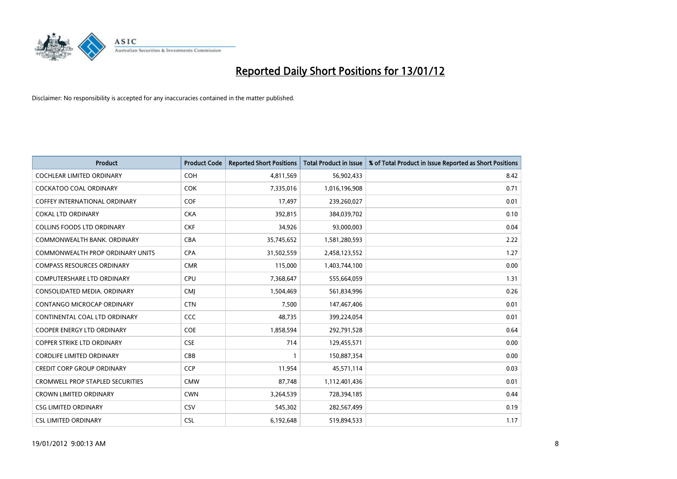

| <b>Product</b>                          | <b>Product Code</b> | <b>Reported Short Positions</b> | <b>Total Product in Issue</b> | % of Total Product in Issue Reported as Short Positions |
|-----------------------------------------|---------------------|---------------------------------|-------------------------------|---------------------------------------------------------|
| <b>COCHLEAR LIMITED ORDINARY</b>        | <b>COH</b>          | 4,811,569                       | 56,902,433                    | 8.42                                                    |
| <b>COCKATOO COAL ORDINARY</b>           | <b>COK</b>          | 7,335,016                       | 1,016,196,908                 | 0.71                                                    |
| <b>COFFEY INTERNATIONAL ORDINARY</b>    | <b>COF</b>          | 17,497                          | 239,260,027                   | 0.01                                                    |
| <b>COKAL LTD ORDINARY</b>               | <b>CKA</b>          | 392,815                         | 384,039,702                   | 0.10                                                    |
| <b>COLLINS FOODS LTD ORDINARY</b>       | <b>CKF</b>          | 34,926                          | 93,000,003                    | 0.04                                                    |
| COMMONWEALTH BANK, ORDINARY             | <b>CBA</b>          | 35,745,652                      | 1,581,280,593                 | 2.22                                                    |
| COMMONWEALTH PROP ORDINARY UNITS        | <b>CPA</b>          | 31,502,559                      | 2,458,123,552                 | 1.27                                                    |
| <b>COMPASS RESOURCES ORDINARY</b>       | <b>CMR</b>          | 115,000                         | 1,403,744,100                 | 0.00                                                    |
| <b>COMPUTERSHARE LTD ORDINARY</b>       | <b>CPU</b>          | 7,368,647                       | 555,664,059                   | 1.31                                                    |
| CONSOLIDATED MEDIA, ORDINARY            | <b>CMI</b>          | 1,504,469                       | 561,834,996                   | 0.26                                                    |
| CONTANGO MICROCAP ORDINARY              | <b>CTN</b>          | 7,500                           | 147,467,406                   | 0.01                                                    |
| CONTINENTAL COAL LTD ORDINARY           | <b>CCC</b>          | 48,735                          | 399,224,054                   | 0.01                                                    |
| COOPER ENERGY LTD ORDINARY              | <b>COE</b>          | 1,858,594                       | 292,791,528                   | 0.64                                                    |
| <b>COPPER STRIKE LTD ORDINARY</b>       | <b>CSE</b>          | 714                             | 129,455,571                   | 0.00                                                    |
| <b>CORDLIFE LIMITED ORDINARY</b>        | CBB                 | 1                               | 150,887,354                   | 0.00                                                    |
| <b>CREDIT CORP GROUP ORDINARY</b>       | <b>CCP</b>          | 11,954                          | 45,571,114                    | 0.03                                                    |
| <b>CROMWELL PROP STAPLED SECURITIES</b> | <b>CMW</b>          | 87,748                          | 1,112,401,436                 | 0.01                                                    |
| <b>CROWN LIMITED ORDINARY</b>           | <b>CWN</b>          | 3,264,539                       | 728,394,185                   | 0.44                                                    |
| <b>CSG LIMITED ORDINARY</b>             | <b>CSV</b>          | 545,302                         | 282,567,499                   | 0.19                                                    |
| <b>CSL LIMITED ORDINARY</b>             | <b>CSL</b>          | 6,192,648                       | 519,894,533                   | 1.17                                                    |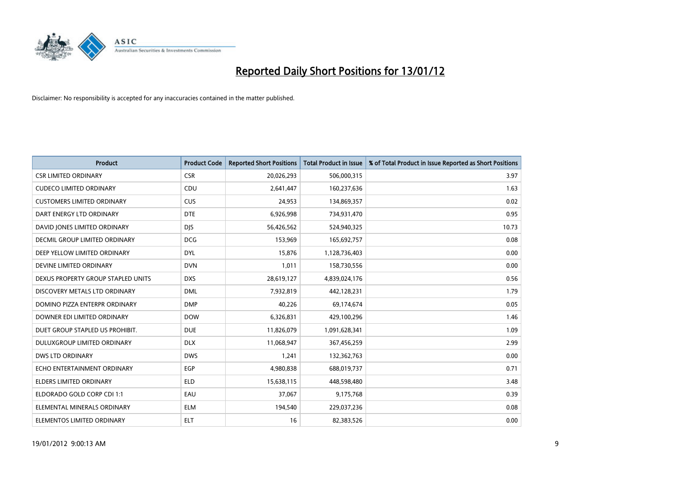

| <b>Product</b>                     | <b>Product Code</b> | <b>Reported Short Positions</b> | <b>Total Product in Issue</b> | % of Total Product in Issue Reported as Short Positions |
|------------------------------------|---------------------|---------------------------------|-------------------------------|---------------------------------------------------------|
| <b>CSR LIMITED ORDINARY</b>        | <b>CSR</b>          | 20,026,293                      | 506,000,315                   | 3.97                                                    |
| <b>CUDECO LIMITED ORDINARY</b>     | CDU                 | 2,641,447                       | 160,237,636                   | 1.63                                                    |
| <b>CUSTOMERS LIMITED ORDINARY</b>  | <b>CUS</b>          | 24,953                          | 134,869,357                   | 0.02                                                    |
| DART ENERGY LTD ORDINARY           | <b>DTE</b>          | 6,926,998                       | 734,931,470                   | 0.95                                                    |
| DAVID JONES LIMITED ORDINARY       | <b>DJS</b>          | 56,426,562                      | 524,940,325                   | 10.73                                                   |
| DECMIL GROUP LIMITED ORDINARY      | <b>DCG</b>          | 153,969                         | 165,692,757                   | 0.08                                                    |
| DEEP YELLOW LIMITED ORDINARY       | <b>DYL</b>          | 15,876                          | 1,128,736,403                 | 0.00                                                    |
| DEVINE LIMITED ORDINARY            | <b>DVN</b>          | 1,011                           | 158,730,556                   | 0.00                                                    |
| DEXUS PROPERTY GROUP STAPLED UNITS | <b>DXS</b>          | 28,619,127                      | 4,839,024,176                 | 0.56                                                    |
| DISCOVERY METALS LTD ORDINARY      | <b>DML</b>          | 7,932,819                       | 442,128,231                   | 1.79                                                    |
| DOMINO PIZZA ENTERPR ORDINARY      | <b>DMP</b>          | 40,226                          | 69,174,674                    | 0.05                                                    |
| DOWNER EDI LIMITED ORDINARY        | <b>DOW</b>          | 6,326,831                       | 429,100,296                   | 1.46                                                    |
| DUET GROUP STAPLED US PROHIBIT.    | <b>DUE</b>          | 11,826,079                      | 1,091,628,341                 | 1.09                                                    |
| DULUXGROUP LIMITED ORDINARY        | <b>DLX</b>          | 11,068,947                      | 367,456,259                   | 2.99                                                    |
| <b>DWS LTD ORDINARY</b>            | <b>DWS</b>          | 1,241                           | 132,362,763                   | 0.00                                                    |
| ECHO ENTERTAINMENT ORDINARY        | EGP                 | 4,980,838                       | 688,019,737                   | 0.71                                                    |
| ELDERS LIMITED ORDINARY            | <b>ELD</b>          | 15,638,115                      | 448,598,480                   | 3.48                                                    |
| ELDORADO GOLD CORP CDI 1:1         | EAU                 | 37.067                          | 9,175,768                     | 0.39                                                    |
| ELEMENTAL MINERALS ORDINARY        | <b>ELM</b>          | 194,540                         | 229,037,236                   | 0.08                                                    |
| ELEMENTOS LIMITED ORDINARY         | <b>ELT</b>          | 16                              | 82,383,526                    | 0.00                                                    |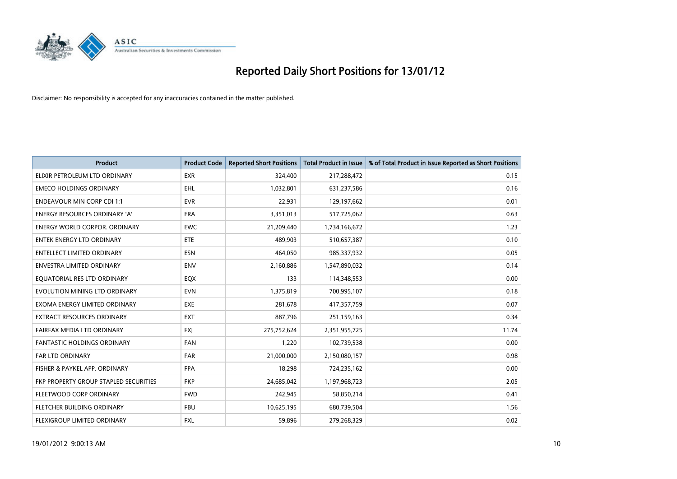

| Product                               | <b>Product Code</b> | <b>Reported Short Positions</b> | <b>Total Product in Issue</b> | % of Total Product in Issue Reported as Short Positions |
|---------------------------------------|---------------------|---------------------------------|-------------------------------|---------------------------------------------------------|
| ELIXIR PETROLEUM LTD ORDINARY         | <b>EXR</b>          | 324,400                         | 217,288,472                   | 0.15                                                    |
| <b>EMECO HOLDINGS ORDINARY</b>        | <b>EHL</b>          | 1,032,801                       | 631,237,586                   | 0.16                                                    |
| <b>ENDEAVOUR MIN CORP CDI 1:1</b>     | <b>EVR</b>          | 22,931                          | 129,197,662                   | 0.01                                                    |
| ENERGY RESOURCES ORDINARY 'A'         | <b>ERA</b>          | 3,351,013                       | 517,725,062                   | 0.63                                                    |
| <b>ENERGY WORLD CORPOR, ORDINARY</b>  | <b>EWC</b>          | 21,209,440                      | 1,734,166,672                 | 1.23                                                    |
| <b>ENTEK ENERGY LTD ORDINARY</b>      | ETE                 | 489,903                         | 510,657,387                   | 0.10                                                    |
| <b>ENTELLECT LIMITED ORDINARY</b>     | <b>ESN</b>          | 464,050                         | 985,337,932                   | 0.05                                                    |
| ENVESTRA LIMITED ORDINARY             | <b>ENV</b>          | 2,160,886                       | 1,547,890,032                 | 0.14                                                    |
| EQUATORIAL RES LTD ORDINARY           | EQX                 | 133                             | 114,348,553                   | 0.00                                                    |
| EVOLUTION MINING LTD ORDINARY         | <b>EVN</b>          | 1,375,819                       | 700,995,107                   | 0.18                                                    |
| EXOMA ENERGY LIMITED ORDINARY         | EXE                 | 281,678                         | 417,357,759                   | 0.07                                                    |
| <b>EXTRACT RESOURCES ORDINARY</b>     | <b>EXT</b>          | 887,796                         | 251,159,163                   | 0.34                                                    |
| FAIRFAX MEDIA LTD ORDINARY            | <b>FXI</b>          | 275,752,624                     | 2,351,955,725                 | 11.74                                                   |
| <b>FANTASTIC HOLDINGS ORDINARY</b>    | <b>FAN</b>          | 1,220                           | 102,739,538                   | 0.00                                                    |
| <b>FAR LTD ORDINARY</b>               | <b>FAR</b>          | 21,000,000                      | 2,150,080,157                 | 0.98                                                    |
| FISHER & PAYKEL APP. ORDINARY         | <b>FPA</b>          | 18,298                          | 724,235,162                   | 0.00                                                    |
| FKP PROPERTY GROUP STAPLED SECURITIES | <b>FKP</b>          | 24,685,042                      | 1,197,968,723                 | 2.05                                                    |
| FLEETWOOD CORP ORDINARY               | <b>FWD</b>          | 242,945                         | 58,850,214                    | 0.41                                                    |
| FLETCHER BUILDING ORDINARY            | <b>FBU</b>          | 10,625,195                      | 680,739,504                   | 1.56                                                    |
| FLEXIGROUP LIMITED ORDINARY           | <b>FXL</b>          | 59,896                          | 279,268,329                   | 0.02                                                    |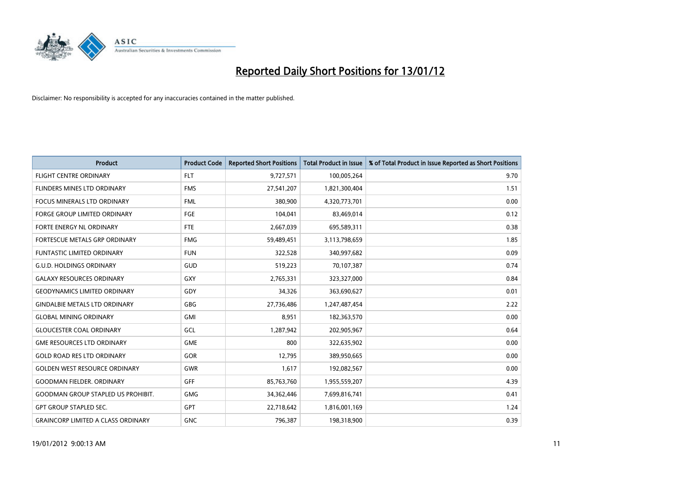

| <b>Product</b>                            | <b>Product Code</b> | <b>Reported Short Positions</b> | <b>Total Product in Issue</b> | % of Total Product in Issue Reported as Short Positions |
|-------------------------------------------|---------------------|---------------------------------|-------------------------------|---------------------------------------------------------|
| <b>FLIGHT CENTRE ORDINARY</b>             | <b>FLT</b>          | 9,727,571                       | 100,005,264                   | 9.70                                                    |
| FLINDERS MINES LTD ORDINARY               | <b>FMS</b>          | 27,541,207                      | 1,821,300,404                 | 1.51                                                    |
| FOCUS MINERALS LTD ORDINARY               | <b>FML</b>          | 380,900                         | 4,320,773,701                 | 0.00                                                    |
| <b>FORGE GROUP LIMITED ORDINARY</b>       | FGE                 | 104,041                         | 83,469,014                    | 0.12                                                    |
| FORTE ENERGY NL ORDINARY                  | FTE                 | 2,667,039                       | 695,589,311                   | 0.38                                                    |
| FORTESCUE METALS GRP ORDINARY             | <b>FMG</b>          | 59,489,451                      | 3,113,798,659                 | 1.85                                                    |
| <b>FUNTASTIC LIMITED ORDINARY</b>         | <b>FUN</b>          | 322,528                         | 340,997,682                   | 0.09                                                    |
| <b>G.U.D. HOLDINGS ORDINARY</b>           | GUD                 | 519,223                         | 70,107,387                    | 0.74                                                    |
| <b>GALAXY RESOURCES ORDINARY</b>          | GXY                 | 2,765,331                       | 323,327,000                   | 0.84                                                    |
| <b>GEODYNAMICS LIMITED ORDINARY</b>       | GDY                 | 34,326                          | 363,690,627                   | 0.01                                                    |
| <b>GINDALBIE METALS LTD ORDINARY</b>      | <b>GBG</b>          | 27,736,486                      | 1,247,487,454                 | 2.22                                                    |
| <b>GLOBAL MINING ORDINARY</b>             | GMI                 | 8,951                           | 182,363,570                   | 0.00                                                    |
| <b>GLOUCESTER COAL ORDINARY</b>           | GCL                 | 1,287,942                       | 202,905,967                   | 0.64                                                    |
| <b>GME RESOURCES LTD ORDINARY</b>         | <b>GME</b>          | 800                             | 322,635,902                   | 0.00                                                    |
| <b>GOLD ROAD RES LTD ORDINARY</b>         | GOR                 | 12,795                          | 389,950,665                   | 0.00                                                    |
| <b>GOLDEN WEST RESOURCE ORDINARY</b>      | GWR                 | 1,617                           | 192,082,567                   | 0.00                                                    |
| <b>GOODMAN FIELDER. ORDINARY</b>          | <b>GFF</b>          | 85,763,760                      | 1,955,559,207                 | 4.39                                                    |
| <b>GOODMAN GROUP STAPLED US PROHIBIT.</b> | <b>GMG</b>          | 34,362,446                      | 7,699,816,741                 | 0.41                                                    |
| <b>GPT GROUP STAPLED SEC.</b>             | <b>GPT</b>          | 22,718,642                      | 1,816,001,169                 | 1.24                                                    |
| <b>GRAINCORP LIMITED A CLASS ORDINARY</b> | <b>GNC</b>          | 796,387                         | 198,318,900                   | 0.39                                                    |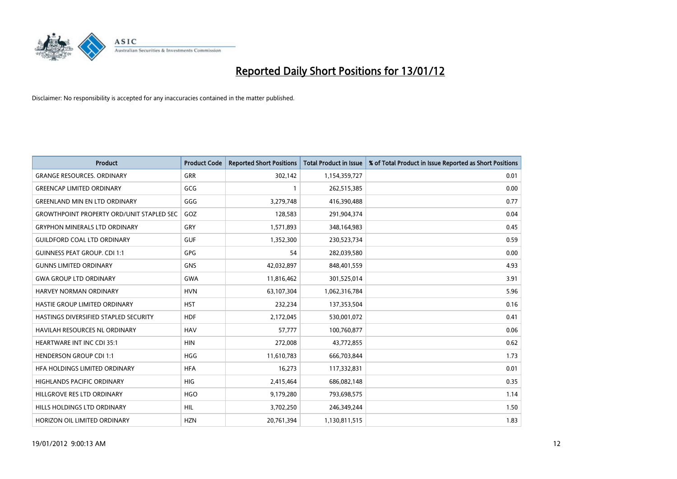

| <b>Product</b>                                   | <b>Product Code</b> | <b>Reported Short Positions</b> | <b>Total Product in Issue</b> | % of Total Product in Issue Reported as Short Positions |
|--------------------------------------------------|---------------------|---------------------------------|-------------------------------|---------------------------------------------------------|
| <b>GRANGE RESOURCES, ORDINARY</b>                | GRR                 | 302,142                         | 1,154,359,727                 | 0.01                                                    |
| <b>GREENCAP LIMITED ORDINARY</b>                 | GCG                 |                                 | 262,515,385                   | 0.00                                                    |
| <b>GREENLAND MIN EN LTD ORDINARY</b>             | GGG                 | 3,279,748                       | 416,390,488                   | 0.77                                                    |
| <b>GROWTHPOINT PROPERTY ORD/UNIT STAPLED SEC</b> | GOZ                 | 128,583                         | 291,904,374                   | 0.04                                                    |
| <b>GRYPHON MINERALS LTD ORDINARY</b>             | GRY                 | 1,571,893                       | 348,164,983                   | 0.45                                                    |
| <b>GUILDFORD COAL LTD ORDINARY</b>               | <b>GUF</b>          | 1,352,300                       | 230,523,734                   | 0.59                                                    |
| <b>GUINNESS PEAT GROUP. CDI 1:1</b>              | GPG                 | 54                              | 282,039,580                   | 0.00                                                    |
| <b>GUNNS LIMITED ORDINARY</b>                    | GNS                 | 42,032,897                      | 848,401,559                   | 4.93                                                    |
| <b>GWA GROUP LTD ORDINARY</b>                    | <b>GWA</b>          | 11,816,462                      | 301,525,014                   | 3.91                                                    |
| <b>HARVEY NORMAN ORDINARY</b>                    | <b>HVN</b>          | 63,107,304                      | 1,062,316,784                 | 5.96                                                    |
| HASTIE GROUP LIMITED ORDINARY                    | <b>HST</b>          | 232,234                         | 137,353,504                   | 0.16                                                    |
| HASTINGS DIVERSIFIED STAPLED SECURITY            | <b>HDF</b>          | 2,172,045                       | 530,001,072                   | 0.41                                                    |
| HAVILAH RESOURCES NL ORDINARY                    | <b>HAV</b>          | 57,777                          | 100,760,877                   | 0.06                                                    |
| <b>HEARTWARE INT INC CDI 35:1</b>                | <b>HIN</b>          | 272,008                         | 43,772,855                    | 0.62                                                    |
| <b>HENDERSON GROUP CDI 1:1</b>                   | <b>HGG</b>          | 11,610,783                      | 666,703,844                   | 1.73                                                    |
| HFA HOLDINGS LIMITED ORDINARY                    | <b>HFA</b>          | 16,273                          | 117,332,831                   | 0.01                                                    |
| HIGHLANDS PACIFIC ORDINARY                       | <b>HIG</b>          | 2,415,464                       | 686,082,148                   | 0.35                                                    |
| HILLGROVE RES LTD ORDINARY                       | <b>HGO</b>          | 9,179,280                       | 793,698,575                   | 1.14                                                    |
| <b>HILLS HOLDINGS LTD ORDINARY</b>               | <b>HIL</b>          | 3,702,250                       | 246,349,244                   | 1.50                                                    |
| HORIZON OIL LIMITED ORDINARY                     | <b>HZN</b>          | 20,761,394                      | 1,130,811,515                 | 1.83                                                    |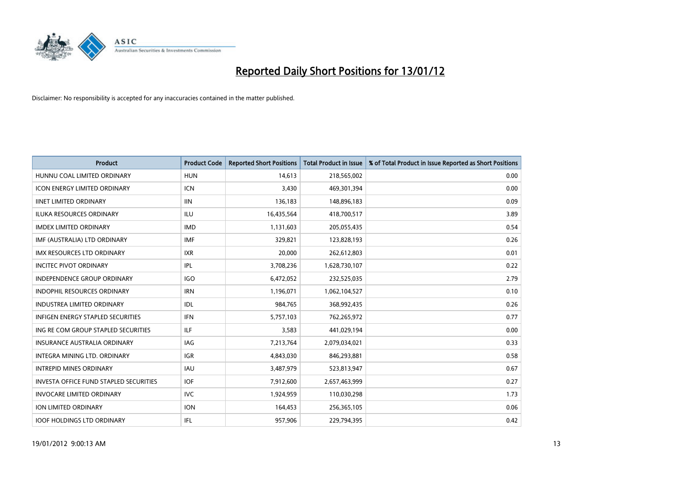

| <b>Product</b>                           | <b>Product Code</b> | <b>Reported Short Positions</b> | <b>Total Product in Issue</b> | % of Total Product in Issue Reported as Short Positions |
|------------------------------------------|---------------------|---------------------------------|-------------------------------|---------------------------------------------------------|
| HUNNU COAL LIMITED ORDINARY              | <b>HUN</b>          | 14.613                          | 218,565,002                   | 0.00                                                    |
| <b>ICON ENERGY LIMITED ORDINARY</b>      | <b>ICN</b>          | 3,430                           | 469,301,394                   | 0.00                                                    |
| <b>IINET LIMITED ORDINARY</b>            | <b>IIN</b>          | 136,183                         | 148,896,183                   | 0.09                                                    |
| ILUKA RESOURCES ORDINARY                 | <b>ILU</b>          | 16,435,564                      | 418,700,517                   | 3.89                                                    |
| <b>IMDEX LIMITED ORDINARY</b>            | <b>IMD</b>          | 1,131,603                       | 205,055,435                   | 0.54                                                    |
| IMF (AUSTRALIA) LTD ORDINARY             | <b>IMF</b>          | 329,821                         | 123,828,193                   | 0.26                                                    |
| IMX RESOURCES LTD ORDINARY               | <b>IXR</b>          | 20,000                          | 262,612,803                   | 0.01                                                    |
| <b>INCITEC PIVOT ORDINARY</b>            | <b>IPL</b>          | 3,708,236                       | 1,628,730,107                 | 0.22                                                    |
| <b>INDEPENDENCE GROUP ORDINARY</b>       | <b>IGO</b>          | 6,472,052                       | 232,525,035                   | 2.79                                                    |
| <b>INDOPHIL RESOURCES ORDINARY</b>       | <b>IRN</b>          | 1,196,071                       | 1,062,104,527                 | 0.10                                                    |
| <b>INDUSTREA LIMITED ORDINARY</b>        | <b>IDL</b>          | 984,765                         | 368,992,435                   | 0.26                                                    |
| <b>INFIGEN ENERGY STAPLED SECURITIES</b> | <b>IFN</b>          | 5,757,103                       | 762,265,972                   | 0.77                                                    |
| ING RE COM GROUP STAPLED SECURITIES      | ILF.                | 3,583                           | 441,029,194                   | 0.00                                                    |
| <b>INSURANCE AUSTRALIA ORDINARY</b>      | IAG                 | 7,213,764                       | 2,079,034,021                 | 0.33                                                    |
| INTEGRA MINING LTD, ORDINARY             | <b>IGR</b>          | 4,843,030                       | 846,293,881                   | 0.58                                                    |
| <b>INTREPID MINES ORDINARY</b>           | <b>IAU</b>          | 3,487,979                       | 523,813,947                   | 0.67                                                    |
| INVESTA OFFICE FUND STAPLED SECURITIES   | <b>IOF</b>          | 7,912,600                       | 2,657,463,999                 | 0.27                                                    |
| <b>INVOCARE LIMITED ORDINARY</b>         | IVC.                | 1,924,959                       | 110,030,298                   | 1.73                                                    |
| <b>ION LIMITED ORDINARY</b>              | <b>ION</b>          | 164,453                         | 256,365,105                   | 0.06                                                    |
| <b>IOOF HOLDINGS LTD ORDINARY</b>        | IFL.                | 957,906                         | 229,794,395                   | 0.42                                                    |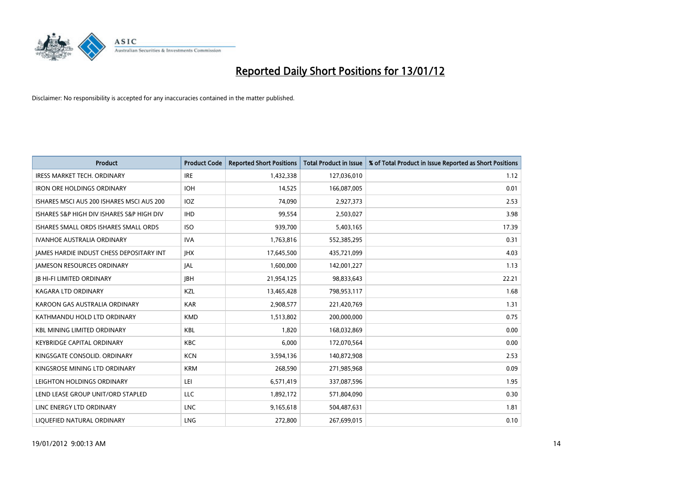

| <b>Product</b>                            | <b>Product Code</b> | <b>Reported Short Positions</b> | <b>Total Product in Issue</b> | % of Total Product in Issue Reported as Short Positions |
|-------------------------------------------|---------------------|---------------------------------|-------------------------------|---------------------------------------------------------|
| <b>IRESS MARKET TECH. ORDINARY</b>        | <b>IRE</b>          | 1,432,338                       | 127,036,010                   | 1.12                                                    |
| <b>IRON ORE HOLDINGS ORDINARY</b>         | <b>IOH</b>          | 14,525                          | 166,087,005                   | 0.01                                                    |
| ISHARES MSCI AUS 200 ISHARES MSCI AUS 200 | <b>IOZ</b>          | 74,090                          | 2,927,373                     | 2.53                                                    |
| ISHARES S&P HIGH DIV ISHARES S&P HIGH DIV | <b>IHD</b>          | 99,554                          | 2,503,027                     | 3.98                                                    |
| ISHARES SMALL ORDS ISHARES SMALL ORDS     | <b>ISO</b>          | 939,700                         | 5,403,165                     | 17.39                                                   |
| <b>IVANHOE AUSTRALIA ORDINARY</b>         | <b>IVA</b>          | 1,763,816                       | 552,385,295                   | 0.31                                                    |
| JAMES HARDIE INDUST CHESS DEPOSITARY INT  | <b>IHX</b>          | 17,645,500                      | 435,721,099                   | 4.03                                                    |
| <b>JAMESON RESOURCES ORDINARY</b>         | JAL                 | 1,600,000                       | 142,001,227                   | 1.13                                                    |
| <b>JB HI-FI LIMITED ORDINARY</b>          | <b>JBH</b>          | 21,954,125                      | 98,833,643                    | 22.21                                                   |
| <b>KAGARA LTD ORDINARY</b>                | KZL                 | 13,465,428                      | 798,953,117                   | 1.68                                                    |
| KAROON GAS AUSTRALIA ORDINARY             | <b>KAR</b>          | 2,908,577                       | 221,420,769                   | 1.31                                                    |
| KATHMANDU HOLD LTD ORDINARY               | <b>KMD</b>          | 1,513,802                       | 200,000,000                   | 0.75                                                    |
| <b>KBL MINING LIMITED ORDINARY</b>        | <b>KBL</b>          | 1.820                           | 168,032,869                   | 0.00                                                    |
| <b>KEYBRIDGE CAPITAL ORDINARY</b>         | <b>KBC</b>          | 6,000                           | 172,070,564                   | 0.00                                                    |
| KINGSGATE CONSOLID. ORDINARY              | <b>KCN</b>          | 3,594,136                       | 140,872,908                   | 2.53                                                    |
| KINGSROSE MINING LTD ORDINARY             | <b>KRM</b>          | 268,590                         | 271,985,968                   | 0.09                                                    |
| LEIGHTON HOLDINGS ORDINARY                | LEI                 | 6,571,419                       | 337,087,596                   | 1.95                                                    |
| LEND LEASE GROUP UNIT/ORD STAPLED         | LLC                 | 1,892,172                       | 571,804,090                   | 0.30                                                    |
| LINC ENERGY LTD ORDINARY                  | <b>LNC</b>          | 9,165,618                       | 504,487,631                   | 1.81                                                    |
| LIQUEFIED NATURAL ORDINARY                | <b>LNG</b>          | 272,800                         | 267,699,015                   | 0.10                                                    |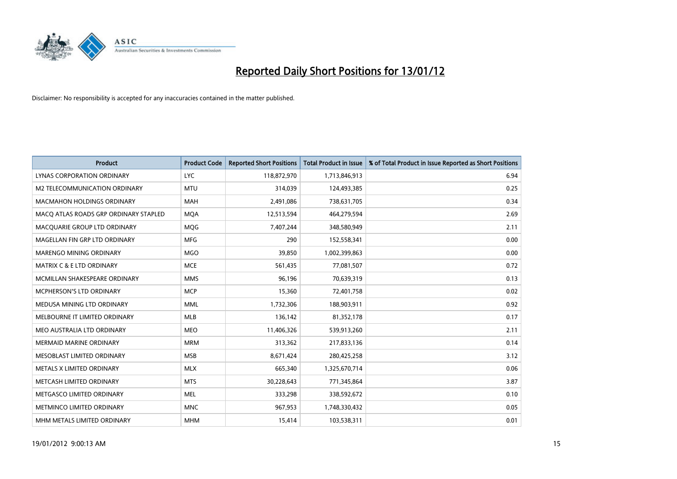

| <b>Product</b>                        | <b>Product Code</b> | <b>Reported Short Positions</b> | <b>Total Product in Issue</b> | % of Total Product in Issue Reported as Short Positions |
|---------------------------------------|---------------------|---------------------------------|-------------------------------|---------------------------------------------------------|
| LYNAS CORPORATION ORDINARY            | <b>LYC</b>          | 118,872,970                     | 1,713,846,913                 | 6.94                                                    |
| M2 TELECOMMUNICATION ORDINARY         | <b>MTU</b>          | 314,039                         | 124,493,385                   | 0.25                                                    |
| <b>MACMAHON HOLDINGS ORDINARY</b>     | <b>MAH</b>          | 2,491,086                       | 738,631,705                   | 0.34                                                    |
| MACO ATLAS ROADS GRP ORDINARY STAPLED | <b>MOA</b>          | 12,513,594                      | 464,279,594                   | 2.69                                                    |
| MACQUARIE GROUP LTD ORDINARY          | <b>MOG</b>          | 7,407,244                       | 348,580,949                   | 2.11                                                    |
| MAGELLAN FIN GRP LTD ORDINARY         | <b>MFG</b>          | 290                             | 152,558,341                   | 0.00                                                    |
| MARENGO MINING ORDINARY               | <b>MGO</b>          | 39,850                          | 1,002,399,863                 | 0.00                                                    |
| <b>MATRIX C &amp; E LTD ORDINARY</b>  | <b>MCE</b>          | 561,435                         | 77,081,507                    | 0.72                                                    |
| MCMILLAN SHAKESPEARE ORDINARY         | <b>MMS</b>          | 96,196                          | 70,639,319                    | 0.13                                                    |
| <b>MCPHERSON'S LTD ORDINARY</b>       | <b>MCP</b>          | 15,360                          | 72,401,758                    | 0.02                                                    |
| MEDUSA MINING LTD ORDINARY            | <b>MML</b>          | 1,732,306                       | 188,903,911                   | 0.92                                                    |
| MELBOURNE IT LIMITED ORDINARY         | <b>MLB</b>          | 136,142                         | 81,352,178                    | 0.17                                                    |
| MEO AUSTRALIA LTD ORDINARY            | <b>MEO</b>          | 11,406,326                      | 539,913,260                   | 2.11                                                    |
| <b>MERMAID MARINE ORDINARY</b>        | <b>MRM</b>          | 313,362                         | 217,833,136                   | 0.14                                                    |
| MESOBLAST LIMITED ORDINARY            | <b>MSB</b>          | 8,671,424                       | 280,425,258                   | 3.12                                                    |
| METALS X LIMITED ORDINARY             | <b>MLX</b>          | 665,340                         | 1,325,670,714                 | 0.06                                                    |
| METCASH LIMITED ORDINARY              | <b>MTS</b>          | 30,228,643                      | 771,345,864                   | 3.87                                                    |
| METGASCO LIMITED ORDINARY             | <b>MEL</b>          | 333,298                         | 338,592,672                   | 0.10                                                    |
| METMINCO LIMITED ORDINARY             | <b>MNC</b>          | 967,953                         | 1,748,330,432                 | 0.05                                                    |
| MHM METALS LIMITED ORDINARY           | <b>MHM</b>          | 15,414                          | 103,538,311                   | 0.01                                                    |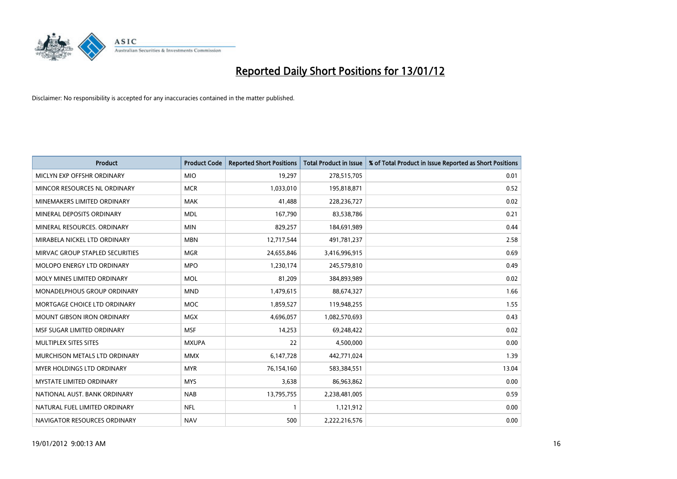

| <b>Product</b>                    | <b>Product Code</b> | <b>Reported Short Positions</b> | <b>Total Product in Issue</b> | % of Total Product in Issue Reported as Short Positions |
|-----------------------------------|---------------------|---------------------------------|-------------------------------|---------------------------------------------------------|
| MICLYN EXP OFFSHR ORDINARY        | <b>MIO</b>          | 19,297                          | 278,515,705                   | 0.01                                                    |
| MINCOR RESOURCES NL ORDINARY      | <b>MCR</b>          | 1,033,010                       | 195,818,871                   | 0.52                                                    |
| MINEMAKERS LIMITED ORDINARY       | <b>MAK</b>          | 41,488                          | 228,236,727                   | 0.02                                                    |
| MINERAL DEPOSITS ORDINARY         | <b>MDL</b>          | 167,790                         | 83,538,786                    | 0.21                                                    |
| MINERAL RESOURCES, ORDINARY       | <b>MIN</b>          | 829,257                         | 184,691,989                   | 0.44                                                    |
| MIRABELA NICKEL LTD ORDINARY      | <b>MBN</b>          | 12,717,544                      | 491,781,237                   | 2.58                                                    |
| MIRVAC GROUP STAPLED SECURITIES   | <b>MGR</b>          | 24,655,846                      | 3,416,996,915                 | 0.69                                                    |
| MOLOPO ENERGY LTD ORDINARY        | <b>MPO</b>          | 1,230,174                       | 245,579,810                   | 0.49                                                    |
| MOLY MINES LIMITED ORDINARY       | <b>MOL</b>          | 81,209                          | 384,893,989                   | 0.02                                                    |
| MONADELPHOUS GROUP ORDINARY       | <b>MND</b>          | 1,479,615                       | 88,674,327                    | 1.66                                                    |
| MORTGAGE CHOICE LTD ORDINARY      | <b>MOC</b>          | 1,859,527                       | 119,948,255                   | 1.55                                                    |
| <b>MOUNT GIBSON IRON ORDINARY</b> | <b>MGX</b>          | 4,696,057                       | 1,082,570,693                 | 0.43                                                    |
| MSF SUGAR LIMITED ORDINARY        | <b>MSF</b>          | 14,253                          | 69,248,422                    | 0.02                                                    |
| MULTIPLEX SITES SITES             | <b>MXUPA</b>        | 22                              | 4,500,000                     | 0.00                                                    |
| MURCHISON METALS LTD ORDINARY     | <b>MMX</b>          | 6,147,728                       | 442,771,024                   | 1.39                                                    |
| MYER HOLDINGS LTD ORDINARY        | <b>MYR</b>          | 76,154,160                      | 583,384,551                   | 13.04                                                   |
| <b>MYSTATE LIMITED ORDINARY</b>   | <b>MYS</b>          | 3,638                           | 86,963,862                    | 0.00                                                    |
| NATIONAL AUST, BANK ORDINARY      | <b>NAB</b>          | 13,795,755                      | 2,238,481,005                 | 0.59                                                    |
| NATURAL FUEL LIMITED ORDINARY     | <b>NFL</b>          | $\mathbf{1}$                    | 1,121,912                     | 0.00                                                    |
| NAVIGATOR RESOURCES ORDINARY      | <b>NAV</b>          | 500                             | 2,222,216,576                 | 0.00                                                    |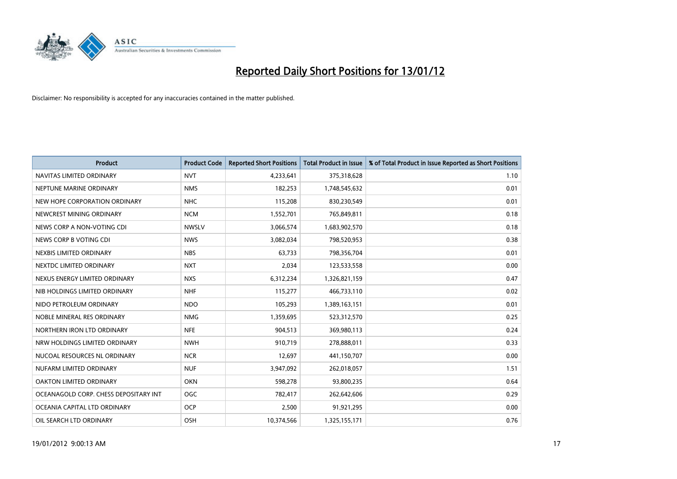

| <b>Product</b>                        | <b>Product Code</b> | <b>Reported Short Positions</b> | <b>Total Product in Issue</b> | % of Total Product in Issue Reported as Short Positions |
|---------------------------------------|---------------------|---------------------------------|-------------------------------|---------------------------------------------------------|
| NAVITAS LIMITED ORDINARY              | <b>NVT</b>          | 4,233,641                       | 375,318,628                   | 1.10                                                    |
| NEPTUNE MARINE ORDINARY               | <b>NMS</b>          | 182,253                         | 1,748,545,632                 | 0.01                                                    |
| NEW HOPE CORPORATION ORDINARY         | <b>NHC</b>          | 115,208                         | 830,230,549                   | 0.01                                                    |
| NEWCREST MINING ORDINARY              | <b>NCM</b>          | 1,552,701                       | 765,849,811                   | 0.18                                                    |
| NEWS CORP A NON-VOTING CDI            | <b>NWSLV</b>        | 3,066,574                       | 1,683,902,570                 | 0.18                                                    |
| NEWS CORP B VOTING CDI                | <b>NWS</b>          | 3,082,034                       | 798,520,953                   | 0.38                                                    |
| NEXBIS LIMITED ORDINARY               | <b>NBS</b>          | 63.733                          | 798,356,704                   | 0.01                                                    |
| NEXTDC LIMITED ORDINARY               | <b>NXT</b>          | 2,034                           | 123,533,558                   | 0.00                                                    |
| NEXUS ENERGY LIMITED ORDINARY         | <b>NXS</b>          | 6,312,234                       | 1,326,821,159                 | 0.47                                                    |
| NIB HOLDINGS LIMITED ORDINARY         | <b>NHF</b>          | 115,277                         | 466,733,110                   | 0.02                                                    |
| NIDO PETROLEUM ORDINARY               | <b>NDO</b>          | 105,293                         | 1,389,163,151                 | 0.01                                                    |
| NOBLE MINERAL RES ORDINARY            | <b>NMG</b>          | 1,359,695                       | 523,312,570                   | 0.25                                                    |
| NORTHERN IRON LTD ORDINARY            | <b>NFE</b>          | 904,513                         | 369,980,113                   | 0.24                                                    |
| NRW HOLDINGS LIMITED ORDINARY         | <b>NWH</b>          | 910,719                         | 278,888,011                   | 0.33                                                    |
| NUCOAL RESOURCES NL ORDINARY          | <b>NCR</b>          | 12,697                          | 441,150,707                   | 0.00                                                    |
| NUFARM LIMITED ORDINARY               | <b>NUF</b>          | 3,947,092                       | 262,018,057                   | 1.51                                                    |
| OAKTON LIMITED ORDINARY               | <b>OKN</b>          | 598,278                         | 93,800,235                    | 0.64                                                    |
| OCEANAGOLD CORP. CHESS DEPOSITARY INT | <b>OGC</b>          | 782,417                         | 262,642,606                   | 0.29                                                    |
| OCEANIA CAPITAL LTD ORDINARY          | <b>OCP</b>          | 2,500                           | 91,921,295                    | 0.00                                                    |
| OIL SEARCH LTD ORDINARY               | OSH                 | 10,374,566                      | 1,325,155,171                 | 0.76                                                    |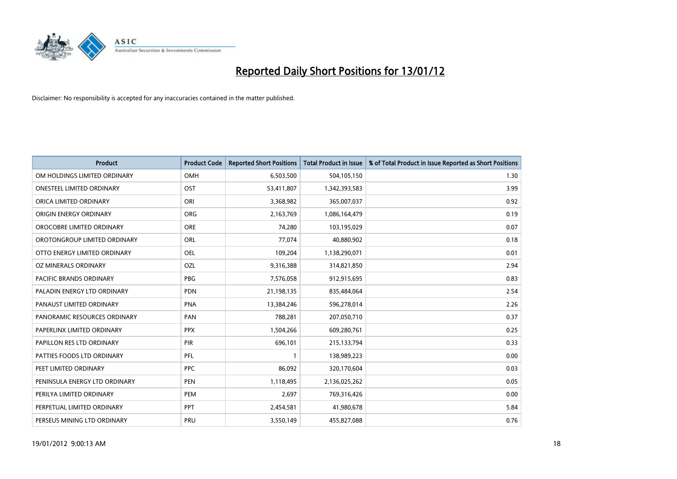

| <b>Product</b>                 | <b>Product Code</b> | <b>Reported Short Positions</b> | <b>Total Product in Issue</b> | % of Total Product in Issue Reported as Short Positions |
|--------------------------------|---------------------|---------------------------------|-------------------------------|---------------------------------------------------------|
| OM HOLDINGS LIMITED ORDINARY   | OMH                 | 6,503,500                       | 504,105,150                   | 1.30                                                    |
| ONESTEEL LIMITED ORDINARY      | OST                 | 53,411,807                      | 1,342,393,583                 | 3.99                                                    |
| ORICA LIMITED ORDINARY         | ORI                 | 3,368,982                       | 365,007,037                   | 0.92                                                    |
| ORIGIN ENERGY ORDINARY         | <b>ORG</b>          | 2,163,769                       | 1,086,164,479                 | 0.19                                                    |
| OROCOBRE LIMITED ORDINARY      | <b>ORE</b>          | 74,280                          | 103,195,029                   | 0.07                                                    |
| OROTONGROUP LIMITED ORDINARY   | ORL                 | 77,074                          | 40,880,902                    | 0.18                                                    |
| OTTO ENERGY LIMITED ORDINARY   | OEL                 | 109,204                         | 1,138,290,071                 | 0.01                                                    |
| <b>OZ MINERALS ORDINARY</b>    | OZL                 | 9,316,388                       | 314,821,850                   | 2.94                                                    |
| <b>PACIFIC BRANDS ORDINARY</b> | <b>PBG</b>          | 7,576,058                       | 912,915,695                   | 0.83                                                    |
| PALADIN ENERGY LTD ORDINARY    | <b>PDN</b>          | 21,198,135                      | 835,484,064                   | 2.54                                                    |
| PANAUST LIMITED ORDINARY       | <b>PNA</b>          | 13,384,246                      | 596,278,014                   | 2.26                                                    |
| PANORAMIC RESOURCES ORDINARY   | PAN                 | 788,281                         | 207,050,710                   | 0.37                                                    |
| PAPERLINX LIMITED ORDINARY     | <b>PPX</b>          | 1,504,266                       | 609,280,761                   | 0.25                                                    |
| PAPILLON RES LTD ORDINARY      | PIR                 | 696,101                         | 215,133,794                   | 0.33                                                    |
| PATTIES FOODS LTD ORDINARY     | PFL                 | $\mathbf{1}$                    | 138,989,223                   | 0.00                                                    |
| PEET LIMITED ORDINARY          | <b>PPC</b>          | 86,092                          | 320,170,604                   | 0.03                                                    |
| PENINSULA ENERGY LTD ORDINARY  | <b>PEN</b>          | 1,118,495                       | 2,136,025,262                 | 0.05                                                    |
| PERILYA LIMITED ORDINARY       | <b>PEM</b>          | 2,697                           | 769,316,426                   | 0.00                                                    |
| PERPETUAL LIMITED ORDINARY     | <b>PPT</b>          | 2,454,581                       | 41,980,678                    | 5.84                                                    |
| PERSEUS MINING LTD ORDINARY    | PRU                 | 3,550,149                       | 455,827,088                   | 0.76                                                    |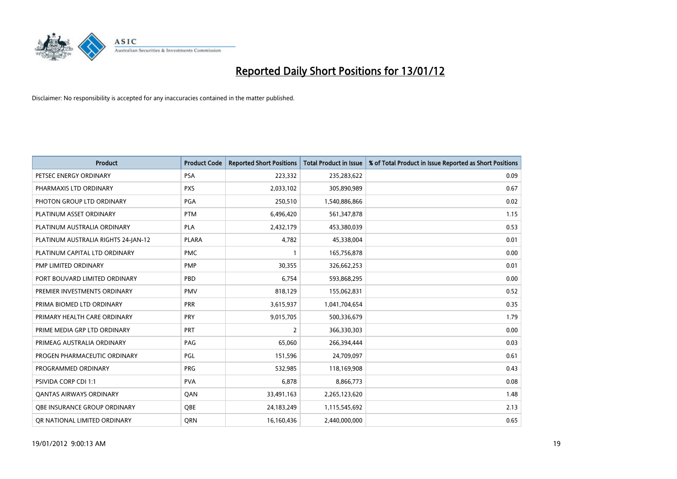

| <b>Product</b>                      | <b>Product Code</b> | <b>Reported Short Positions</b> | <b>Total Product in Issue</b> | % of Total Product in Issue Reported as Short Positions |
|-------------------------------------|---------------------|---------------------------------|-------------------------------|---------------------------------------------------------|
| PETSEC ENERGY ORDINARY              | <b>PSA</b>          | 223,332                         | 235,283,622                   | 0.09                                                    |
| PHARMAXIS LTD ORDINARY              | <b>PXS</b>          | 2,033,102                       | 305,890,989                   | 0.67                                                    |
| PHOTON GROUP LTD ORDINARY           | PGA                 | 250,510                         | 1,540,886,866                 | 0.02                                                    |
| PLATINUM ASSET ORDINARY             | <b>PTM</b>          | 6,496,420                       | 561,347,878                   | 1.15                                                    |
| PLATINUM AUSTRALIA ORDINARY         | <b>PLA</b>          | 2,432,179                       | 453,380,039                   | 0.53                                                    |
| PLATINUM AUSTRALIA RIGHTS 24-JAN-12 | <b>PLARA</b>        | 4,782                           | 45,338,004                    | 0.01                                                    |
| PLATINUM CAPITAL LTD ORDINARY       | <b>PMC</b>          |                                 | 165,756,878                   | 0.00                                                    |
| PMP LIMITED ORDINARY                | <b>PMP</b>          | 30,355                          | 326,662,253                   | 0.01                                                    |
| PORT BOUVARD LIMITED ORDINARY       | PBD                 | 6,754                           | 593,868,295                   | 0.00                                                    |
| PREMIER INVESTMENTS ORDINARY        | <b>PMV</b>          | 818,129                         | 155,062,831                   | 0.52                                                    |
| PRIMA BIOMED LTD ORDINARY           | <b>PRR</b>          | 3,615,937                       | 1,041,704,654                 | 0.35                                                    |
| PRIMARY HEALTH CARE ORDINARY        | <b>PRY</b>          | 9,015,705                       | 500,336,679                   | 1.79                                                    |
| PRIME MEDIA GRP LTD ORDINARY        | <b>PRT</b>          | $\overline{2}$                  | 366,330,303                   | 0.00                                                    |
| PRIMEAG AUSTRALIA ORDINARY          | PAG                 | 65,060                          | 266,394,444                   | 0.03                                                    |
| PROGEN PHARMACEUTIC ORDINARY        | PGL                 | 151,596                         | 24,709,097                    | 0.61                                                    |
| PROGRAMMED ORDINARY                 | <b>PRG</b>          | 532,985                         | 118,169,908                   | 0.43                                                    |
| PSIVIDA CORP CDI 1:1                | <b>PVA</b>          | 6,878                           | 8,866,773                     | 0.08                                                    |
| <b>QANTAS AIRWAYS ORDINARY</b>      | QAN                 | 33,491,163                      | 2,265,123,620                 | 1.48                                                    |
| OBE INSURANCE GROUP ORDINARY        | <b>OBE</b>          | 24,183,249                      | 1,115,545,692                 | 2.13                                                    |
| OR NATIONAL LIMITED ORDINARY        | <b>ORN</b>          | 16,160,436                      | 2,440,000,000                 | 0.65                                                    |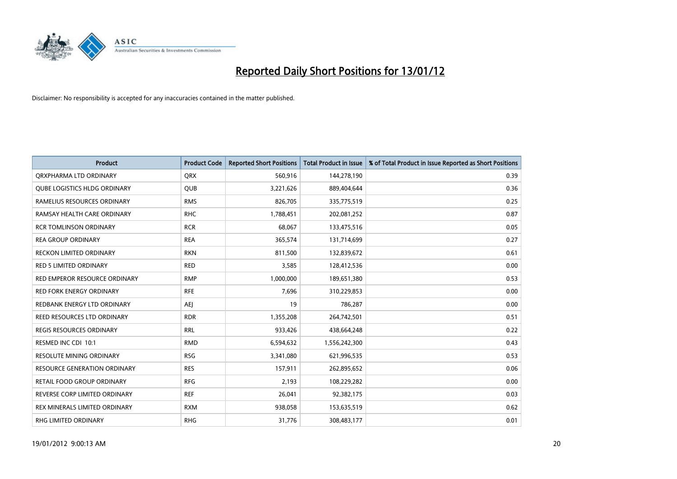

| <b>Product</b>                      | <b>Product Code</b> | <b>Reported Short Positions</b> | <b>Total Product in Issue</b> | % of Total Product in Issue Reported as Short Positions |
|-------------------------------------|---------------------|---------------------------------|-------------------------------|---------------------------------------------------------|
| ORXPHARMA LTD ORDINARY              | <b>QRX</b>          | 560,916                         | 144,278,190                   | 0.39                                                    |
| <b>QUBE LOGISTICS HLDG ORDINARY</b> | QUB                 | 3,221,626                       | 889,404,644                   | 0.36                                                    |
| RAMELIUS RESOURCES ORDINARY         | <b>RMS</b>          | 826,705                         | 335,775,519                   | 0.25                                                    |
| RAMSAY HEALTH CARE ORDINARY         | <b>RHC</b>          | 1,788,451                       | 202,081,252                   | 0.87                                                    |
| <b>RCR TOMLINSON ORDINARY</b>       | <b>RCR</b>          | 68,067                          | 133,475,516                   | 0.05                                                    |
| <b>REA GROUP ORDINARY</b>           | <b>REA</b>          | 365,574                         | 131,714,699                   | 0.27                                                    |
| <b>RECKON LIMITED ORDINARY</b>      | <b>RKN</b>          | 811,500                         | 132,839,672                   | 0.61                                                    |
| RED 5 LIMITED ORDINARY              | <b>RED</b>          | 3,585                           | 128,412,536                   | 0.00                                                    |
| RED EMPEROR RESOURCE ORDINARY       | <b>RMP</b>          | 1,000,000                       | 189,651,380                   | 0.53                                                    |
| <b>RED FORK ENERGY ORDINARY</b>     | <b>RFE</b>          | 7,696                           | 310,229,853                   | 0.00                                                    |
| REDBANK ENERGY LTD ORDINARY         | AEJ                 | 19                              | 786,287                       | 0.00                                                    |
| REED RESOURCES LTD ORDINARY         | <b>RDR</b>          | 1,355,208                       | 264,742,501                   | 0.51                                                    |
| <b>REGIS RESOURCES ORDINARY</b>     | <b>RRL</b>          | 933,426                         | 438,664,248                   | 0.22                                                    |
| RESMED INC CDI 10:1                 | <b>RMD</b>          | 6,594,632                       | 1,556,242,300                 | 0.43                                                    |
| <b>RESOLUTE MINING ORDINARY</b>     | <b>RSG</b>          | 3,341,080                       | 621,996,535                   | 0.53                                                    |
| <b>RESOURCE GENERATION ORDINARY</b> | <b>RES</b>          | 157,911                         | 262,895,652                   | 0.06                                                    |
| RETAIL FOOD GROUP ORDINARY          | <b>RFG</b>          | 2,193                           | 108,229,282                   | 0.00                                                    |
| REVERSE CORP LIMITED ORDINARY       | <b>REF</b>          | 26,041                          | 92,382,175                    | 0.03                                                    |
| REX MINERALS LIMITED ORDINARY       | <b>RXM</b>          | 938,058                         | 153,635,519                   | 0.62                                                    |
| <b>RHG LIMITED ORDINARY</b>         | <b>RHG</b>          | 31,776                          | 308,483,177                   | 0.01                                                    |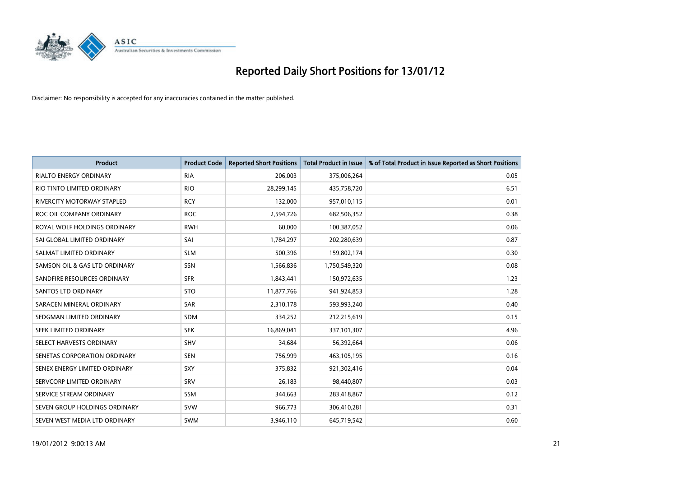

| <b>Product</b>                    | <b>Product Code</b> | <b>Reported Short Positions</b> | <b>Total Product in Issue</b> | % of Total Product in Issue Reported as Short Positions |
|-----------------------------------|---------------------|---------------------------------|-------------------------------|---------------------------------------------------------|
| <b>RIALTO ENERGY ORDINARY</b>     | <b>RIA</b>          | 206,003                         | 375,006,264                   | 0.05                                                    |
| RIO TINTO LIMITED ORDINARY        | <b>RIO</b>          | 28,299,145                      | 435,758,720                   | 6.51                                                    |
| <b>RIVERCITY MOTORWAY STAPLED</b> | <b>RCY</b>          | 132,000                         | 957,010,115                   | 0.01                                                    |
| ROC OIL COMPANY ORDINARY          | <b>ROC</b>          | 2,594,726                       | 682,506,352                   | 0.38                                                    |
| ROYAL WOLF HOLDINGS ORDINARY      | <b>RWH</b>          | 60,000                          | 100,387,052                   | 0.06                                                    |
| SAI GLOBAL LIMITED ORDINARY       | SAI                 | 1,784,297                       | 202,280,639                   | 0.87                                                    |
| SALMAT LIMITED ORDINARY           | <b>SLM</b>          | 500,396                         | 159,802,174                   | 0.30                                                    |
| SAMSON OIL & GAS LTD ORDINARY     | SSN                 | 1,566,836                       | 1,750,549,320                 | 0.08                                                    |
| SANDFIRE RESOURCES ORDINARY       | <b>SFR</b>          | 1,843,441                       | 150,972,635                   | 1.23                                                    |
| SANTOS LTD ORDINARY               | <b>STO</b>          | 11,877,766                      | 941,924,853                   | 1.28                                                    |
| SARACEN MINERAL ORDINARY          | SAR                 | 2,310,178                       | 593,993,240                   | 0.40                                                    |
| SEDGMAN LIMITED ORDINARY          | SDM                 | 334,252                         | 212,215,619                   | 0.15                                                    |
| SEEK LIMITED ORDINARY             | <b>SEK</b>          | 16,869,041                      | 337,101,307                   | 4.96                                                    |
| SELECT HARVESTS ORDINARY          | SHV                 | 34,684                          | 56,392,664                    | 0.06                                                    |
| SENETAS CORPORATION ORDINARY      | <b>SEN</b>          | 756,999                         | 463,105,195                   | 0.16                                                    |
| SENEX ENERGY LIMITED ORDINARY     | SXY                 | 375,832                         | 921,302,416                   | 0.04                                                    |
| SERVCORP LIMITED ORDINARY         | SRV                 | 26,183                          | 98,440,807                    | 0.03                                                    |
| SERVICE STREAM ORDINARY           | <b>SSM</b>          | 344,663                         | 283,418,867                   | 0.12                                                    |
| SEVEN GROUP HOLDINGS ORDINARY     | <b>SVW</b>          | 966,773                         | 306,410,281                   | 0.31                                                    |
| SEVEN WEST MEDIA LTD ORDINARY     | SWM                 | 3,946,110                       | 645,719,542                   | 0.60                                                    |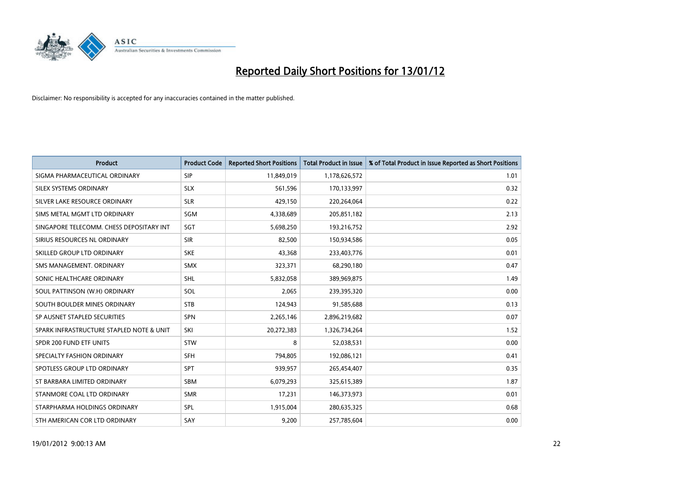

| <b>Product</b>                           | <b>Product Code</b> | <b>Reported Short Positions</b> | <b>Total Product in Issue</b> | % of Total Product in Issue Reported as Short Positions |
|------------------------------------------|---------------------|---------------------------------|-------------------------------|---------------------------------------------------------|
| SIGMA PHARMACEUTICAL ORDINARY            | <b>SIP</b>          | 11,849,019                      | 1,178,626,572                 | 1.01                                                    |
| SILEX SYSTEMS ORDINARY                   | <b>SLX</b>          | 561,596                         | 170,133,997                   | 0.32                                                    |
| SILVER LAKE RESOURCE ORDINARY            | <b>SLR</b>          | 429,150                         | 220,264,064                   | 0.22                                                    |
| SIMS METAL MGMT LTD ORDINARY             | <b>SGM</b>          | 4,338,689                       | 205,851,182                   | 2.13                                                    |
| SINGAPORE TELECOMM. CHESS DEPOSITARY INT | SGT                 | 5,698,250                       | 193,216,752                   | 2.92                                                    |
| SIRIUS RESOURCES NL ORDINARY             | <b>SIR</b>          | 82,500                          | 150,934,586                   | 0.05                                                    |
| SKILLED GROUP LTD ORDINARY               | <b>SKE</b>          | 43,368                          | 233,403,776                   | 0.01                                                    |
| SMS MANAGEMENT, ORDINARY                 | <b>SMX</b>          | 323,371                         | 68,290,180                    | 0.47                                                    |
| SONIC HEALTHCARE ORDINARY                | <b>SHL</b>          | 5,832,058                       | 389,969,875                   | 1.49                                                    |
| SOUL PATTINSON (W.H) ORDINARY            | SOL                 | 2,065                           | 239,395,320                   | 0.00                                                    |
| SOUTH BOULDER MINES ORDINARY             | <b>STB</b>          | 124,943                         | 91,585,688                    | 0.13                                                    |
| SP AUSNET STAPLED SECURITIES             | <b>SPN</b>          | 2,265,146                       | 2,896,219,682                 | 0.07                                                    |
| SPARK INFRASTRUCTURE STAPLED NOTE & UNIT | SKI                 | 20,272,383                      | 1,326,734,264                 | 1.52                                                    |
| SPDR 200 FUND ETF UNITS                  | STW                 | 8                               | 52,038,531                    | 0.00                                                    |
| SPECIALTY FASHION ORDINARY               | <b>SFH</b>          | 794,805                         | 192,086,121                   | 0.41                                                    |
| SPOTLESS GROUP LTD ORDINARY              | <b>SPT</b>          | 939,957                         | 265,454,407                   | 0.35                                                    |
| ST BARBARA LIMITED ORDINARY              | SBM                 | 6,079,293                       | 325,615,389                   | 1.87                                                    |
| STANMORE COAL LTD ORDINARY               | <b>SMR</b>          | 17,231                          | 146,373,973                   | 0.01                                                    |
| STARPHARMA HOLDINGS ORDINARY             | <b>SPL</b>          | 1,915,004                       | 280,635,325                   | 0.68                                                    |
| STH AMERICAN COR LTD ORDINARY            | SAY                 | 9,200                           | 257,785,604                   | 0.00                                                    |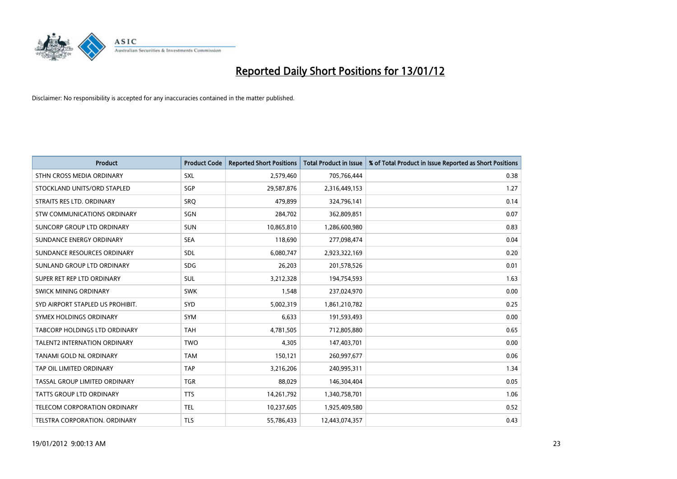

| <b>Product</b>                       | <b>Product Code</b> | <b>Reported Short Positions</b> | <b>Total Product in Issue</b> | % of Total Product in Issue Reported as Short Positions |
|--------------------------------------|---------------------|---------------------------------|-------------------------------|---------------------------------------------------------|
| STHN CROSS MEDIA ORDINARY            | <b>SXL</b>          | 2,579,460                       | 705,766,444                   | 0.38                                                    |
| STOCKLAND UNITS/ORD STAPLED          | SGP                 | 29,587,876                      | 2,316,449,153                 | 1.27                                                    |
| STRAITS RES LTD. ORDINARY            | <b>SRQ</b>          | 479,899                         | 324,796,141                   | 0.14                                                    |
| STW COMMUNICATIONS ORDINARY          | SGN                 | 284,702                         | 362,809,851                   | 0.07                                                    |
| <b>SUNCORP GROUP LTD ORDINARY</b>    | <b>SUN</b>          | 10,865,810                      | 1,286,600,980                 | 0.83                                                    |
| SUNDANCE ENERGY ORDINARY             | <b>SEA</b>          | 118,690                         | 277,098,474                   | 0.04                                                    |
| SUNDANCE RESOURCES ORDINARY          | SDL                 | 6,080,747                       | 2,923,322,169                 | 0.20                                                    |
| SUNLAND GROUP LTD ORDINARY           | <b>SDG</b>          | 26,203                          | 201,578,526                   | 0.01                                                    |
| SUPER RET REP LTD ORDINARY           | <b>SUL</b>          | 3,212,328                       | 194,754,593                   | 1.63                                                    |
| SWICK MINING ORDINARY                | <b>SWK</b>          | 1,548                           | 237,024,970                   | 0.00                                                    |
| SYD AIRPORT STAPLED US PROHIBIT.     | <b>SYD</b>          | 5,002,319                       | 1,861,210,782                 | 0.25                                                    |
| SYMEX HOLDINGS ORDINARY              | <b>SYM</b>          | 6,633                           | 191,593,493                   | 0.00                                                    |
| <b>TABCORP HOLDINGS LTD ORDINARY</b> | <b>TAH</b>          | 4,781,505                       | 712,805,880                   | 0.65                                                    |
| <b>TALENT2 INTERNATION ORDINARY</b>  | <b>TWO</b>          | 4,305                           | 147,403,701                   | 0.00                                                    |
| <b>TANAMI GOLD NL ORDINARY</b>       | <b>TAM</b>          | 150,121                         | 260,997,677                   | 0.06                                                    |
| TAP OIL LIMITED ORDINARY             | <b>TAP</b>          | 3,216,206                       | 240,995,311                   | 1.34                                                    |
| TASSAL GROUP LIMITED ORDINARY        | <b>TGR</b>          | 88,029                          | 146,304,404                   | 0.05                                                    |
| TATTS GROUP LTD ORDINARY             | <b>TTS</b>          | 14,261,792                      | 1,340,758,701                 | 1.06                                                    |
| TELECOM CORPORATION ORDINARY         | <b>TEL</b>          | 10,237,605                      | 1,925,409,580                 | 0.52                                                    |
| TELSTRA CORPORATION, ORDINARY        | <b>TLS</b>          | 55,786,433                      | 12,443,074,357                | 0.43                                                    |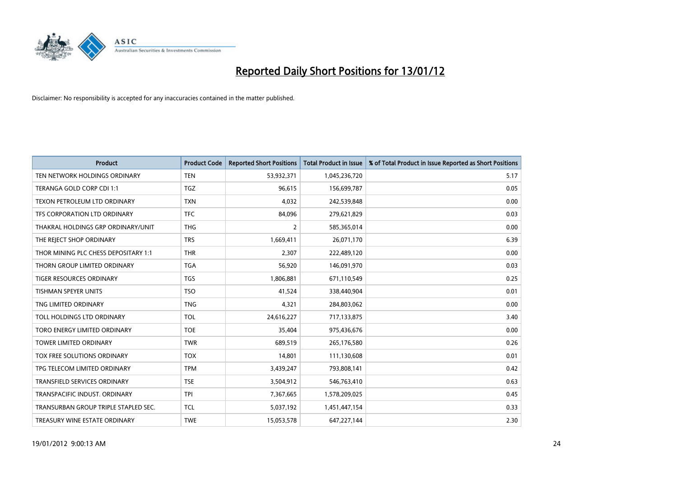

| <b>Product</b>                       | <b>Product Code</b> | <b>Reported Short Positions</b> | <b>Total Product in Issue</b> | % of Total Product in Issue Reported as Short Positions |
|--------------------------------------|---------------------|---------------------------------|-------------------------------|---------------------------------------------------------|
| TEN NETWORK HOLDINGS ORDINARY        | <b>TEN</b>          | 53,932,371                      | 1,045,236,720                 | 5.17                                                    |
| TERANGA GOLD CORP CDI 1:1            | <b>TGZ</b>          | 96,615                          | 156,699,787                   | 0.05                                                    |
| <b>TEXON PETROLEUM LTD ORDINARY</b>  | <b>TXN</b>          | 4,032                           | 242,539,848                   | 0.00                                                    |
| TFS CORPORATION LTD ORDINARY         | <b>TFC</b>          | 84,096                          | 279,621,829                   | 0.03                                                    |
| THAKRAL HOLDINGS GRP ORDINARY/UNIT   | <b>THG</b>          | 2                               | 585,365,014                   | 0.00                                                    |
| THE REJECT SHOP ORDINARY             | <b>TRS</b>          | 1,669,411                       | 26,071,170                    | 6.39                                                    |
| THOR MINING PLC CHESS DEPOSITARY 1:1 | <b>THR</b>          | 2,307                           | 222,489,120                   | 0.00                                                    |
| THORN GROUP LIMITED ORDINARY         | <b>TGA</b>          | 56,920                          | 146,091,970                   | 0.03                                                    |
| TIGER RESOURCES ORDINARY             | <b>TGS</b>          | 1,806,881                       | 671,110,549                   | 0.25                                                    |
| <b>TISHMAN SPEYER UNITS</b>          | <b>TSO</b>          | 41,524                          | 338,440,904                   | 0.01                                                    |
| TNG LIMITED ORDINARY                 | <b>TNG</b>          | 4,321                           | 284,803,062                   | 0.00                                                    |
| TOLL HOLDINGS LTD ORDINARY           | <b>TOL</b>          | 24,616,227                      | 717,133,875                   | 3.40                                                    |
| TORO ENERGY LIMITED ORDINARY         | <b>TOE</b>          | 35,404                          | 975,436,676                   | 0.00                                                    |
| <b>TOWER LIMITED ORDINARY</b>        | <b>TWR</b>          | 689,519                         | 265,176,580                   | 0.26                                                    |
| TOX FREE SOLUTIONS ORDINARY          | <b>TOX</b>          | 14,801                          | 111,130,608                   | 0.01                                                    |
| TPG TELECOM LIMITED ORDINARY         | <b>TPM</b>          | 3,439,247                       | 793,808,141                   | 0.42                                                    |
| <b>TRANSFIELD SERVICES ORDINARY</b>  | <b>TSE</b>          | 3,504,912                       | 546,763,410                   | 0.63                                                    |
| TRANSPACIFIC INDUST, ORDINARY        | <b>TPI</b>          | 7,367,665                       | 1,578,209,025                 | 0.45                                                    |
| TRANSURBAN GROUP TRIPLE STAPLED SEC. | <b>TCL</b>          | 5,037,192                       | 1,451,447,154                 | 0.33                                                    |
| TREASURY WINE ESTATE ORDINARY        | <b>TWE</b>          | 15,053,578                      | 647,227,144                   | 2.30                                                    |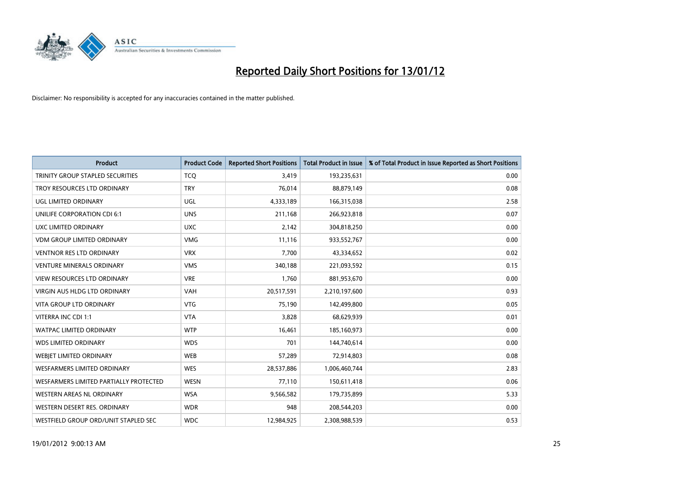

| <b>Product</b>                         | <b>Product Code</b> | <b>Reported Short Positions</b> | <b>Total Product in Issue</b> | % of Total Product in Issue Reported as Short Positions |
|----------------------------------------|---------------------|---------------------------------|-------------------------------|---------------------------------------------------------|
| TRINITY GROUP STAPLED SECURITIES       | <b>TCO</b>          | 3,419                           | 193,235,631                   | 0.00                                                    |
| TROY RESOURCES LTD ORDINARY            | <b>TRY</b>          | 76,014                          | 88,879,149                    | 0.08                                                    |
| UGL LIMITED ORDINARY                   | UGL                 | 4,333,189                       | 166,315,038                   | 2.58                                                    |
| UNILIFE CORPORATION CDI 6:1            | <b>UNS</b>          | 211,168                         | 266,923,818                   | 0.07                                                    |
| UXC LIMITED ORDINARY                   | <b>UXC</b>          | 2,142                           | 304,818,250                   | 0.00                                                    |
| <b>VDM GROUP LIMITED ORDINARY</b>      | <b>VMG</b>          | 11,116                          | 933,552,767                   | 0.00                                                    |
| <b>VENTNOR RES LTD ORDINARY</b>        | <b>VRX</b>          | 7,700                           | 43,334,652                    | 0.02                                                    |
| <b>VENTURE MINERALS ORDINARY</b>       | <b>VMS</b>          | 340,188                         | 221,093,592                   | 0.15                                                    |
| <b>VIEW RESOURCES LTD ORDINARY</b>     | <b>VRE</b>          | 1,760                           | 881,953,670                   | 0.00                                                    |
| VIRGIN AUS HLDG LTD ORDINARY           | <b>VAH</b>          | 20,517,591                      | 2,210,197,600                 | 0.93                                                    |
| <b>VITA GROUP LTD ORDINARY</b>         | <b>VTG</b>          | 75,190                          | 142,499,800                   | 0.05                                                    |
| VITERRA INC CDI 1:1                    | <b>VTA</b>          | 3,828                           | 68,629,939                    | 0.01                                                    |
| <b>WATPAC LIMITED ORDINARY</b>         | <b>WTP</b>          | 16,461                          | 185,160,973                   | 0.00                                                    |
| <b>WDS LIMITED ORDINARY</b>            | <b>WDS</b>          | 701                             | 144,740,614                   | 0.00                                                    |
| <b>WEBJET LIMITED ORDINARY</b>         | <b>WEB</b>          | 57,289                          | 72,914,803                    | 0.08                                                    |
| WESFARMERS LIMITED ORDINARY            | <b>WES</b>          | 28,537,886                      | 1,006,460,744                 | 2.83                                                    |
| WESFARMERS LIMITED PARTIALLY PROTECTED | <b>WESN</b>         | 77,110                          | 150,611,418                   | 0.06                                                    |
| WESTERN AREAS NL ORDINARY              | <b>WSA</b>          | 9,566,582                       | 179,735,899                   | 5.33                                                    |
| WESTERN DESERT RES. ORDINARY           | <b>WDR</b>          | 948                             | 208,544,203                   | 0.00                                                    |
| WESTFIELD GROUP ORD/UNIT STAPLED SEC   | <b>WDC</b>          | 12,984,925                      | 2,308,988,539                 | 0.53                                                    |